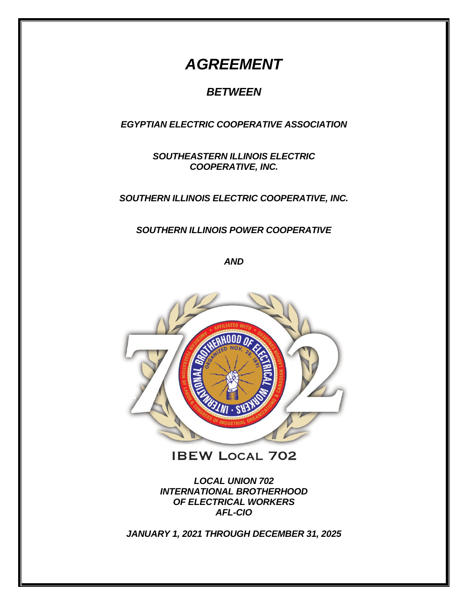# *AGREEMENT*

# *BETWEEN*

*EGYPTIAN ELECTRIC COOPERATIVE ASSOCIATION*

*SOUTHEASTERN ILLINOIS ELECTRIC COOPERATIVE, INC.*

*SOUTHERN ILLINOIS ELECTRIC COOPERATIVE, INC.*

*SOUTHERN ILLINOIS POWER COOPERATIVE*

*AND*



**IBEW LOCAL 702** 

*LOCAL UNION 702 INTERNATIONAL BROTHERHOOD OF ELECTRICAL WORKERS AFL-CIO*

*JANUARY 1, 2021 THROUGH DECEMBER 31, 2025*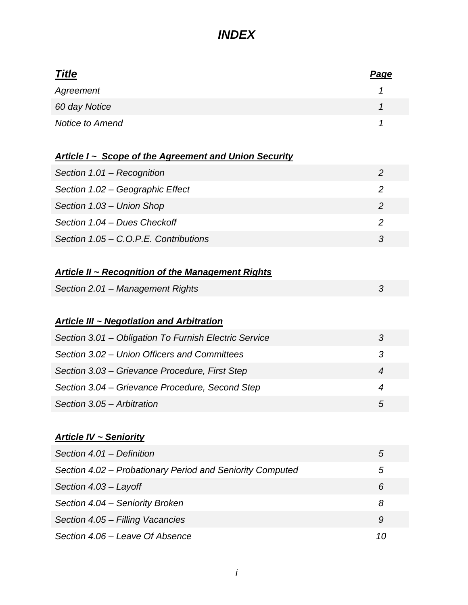| <b>Title</b>                                                 | <u>Page</u>    |
|--------------------------------------------------------------|----------------|
| <u>Agreement</u>                                             | 1              |
| 60 day Notice                                                | 1              |
| <b>Notice to Amend</b>                                       | 1              |
|                                                              |                |
| <u>Article I ~ Scope of the Agreement and Union Security</u> |                |
| Section 1.01 - Recognition                                   | $\overline{2}$ |
| Section 1.02 - Geographic Effect                             | $\overline{2}$ |
| Section 1.03 - Union Shop                                    | $\overline{2}$ |
| Section 1.04 - Dues Checkoff                                 | $\overline{2}$ |
| Section 1.05 - C.O.P.E. Contributions                        | 3              |
|                                                              |                |
| <b>Article II ~ Recognition of the Management Rights</b>     |                |
| Section 2.01 - Management Rights                             | 3              |
|                                                              |                |
| <b>Article III ~ Negotiation and Arbitration</b>             |                |
| Section 3.01 – Obligation To Furnish Electric Service        | 3              |
| Section 3.02 – Union Officers and Committees                 | 3              |
| Section 3.03 – Grievance Procedure, First Step               | $\overline{4}$ |
| Section 3.04 - Grievance Procedure, Second Step              | 4              |
| Section 3.05 - Arbitration                                   | 5              |
|                                                              |                |
| <b>Article IV ~ Seniority</b>                                |                |
| Section 4.01 - Definition                                    | 5              |
| Section 4.02 - Probationary Period and Seniority Computed    | 5              |
| Section 4.03 - Layoff                                        | 6              |
| Section 4.04 - Seniority Broken                              | 8              |
| Section 4.05 - Filling Vacancies                             | 9              |
| Section 4.06 - Leave Of Absence                              | 10             |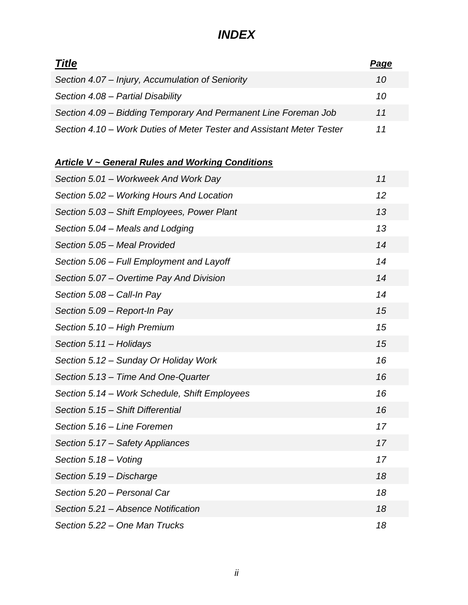| <b>Title</b>                                                          | Page |
|-----------------------------------------------------------------------|------|
| Section 4.07 - Injury, Accumulation of Seniority                      | 10   |
| Section 4.08 - Partial Disability                                     | 10   |
| Section 4.09 – Bidding Temporary And Permanent Line Foreman Job       | 11   |
| Section 4.10 – Work Duties of Meter Tester and Assistant Meter Tester | 11   |

### *Article V ~ General Rules and Working Conditions*

| Section 5.01 - Workweek And Work Day          | 11 |
|-----------------------------------------------|----|
| Section 5.02 – Working Hours And Location     | 12 |
| Section 5.03 - Shift Employees, Power Plant   | 13 |
| Section 5.04 – Meals and Lodging              | 13 |
| Section 5.05 - Meal Provided                  | 14 |
| Section 5.06 - Full Employment and Layoff     | 14 |
| Section 5.07 – Overtime Pay And Division      | 14 |
| Section 5.08 - Call-In Pay                    | 14 |
| Section 5.09 - Report-In Pay                  | 15 |
| Section 5.10 - High Premium                   | 15 |
| Section 5.11 - Holidays                       | 15 |
| Section 5.12 - Sunday Or Holiday Work         | 16 |
| Section 5.13 - Time And One-Quarter           | 16 |
| Section 5.14 - Work Schedule, Shift Employees | 16 |
| Section 5.15 - Shift Differential             | 16 |
| Section 5.16 - Line Foremen                   | 17 |
| Section 5.17 – Safety Appliances              | 17 |
| Section 5.18 - Voting                         | 17 |
| Section 5.19 - Discharge                      | 18 |
| Section 5.20 - Personal Car                   | 18 |
| Section 5.21 – Absence Notification           | 18 |
| Section 5.22 – One Man Trucks                 | 18 |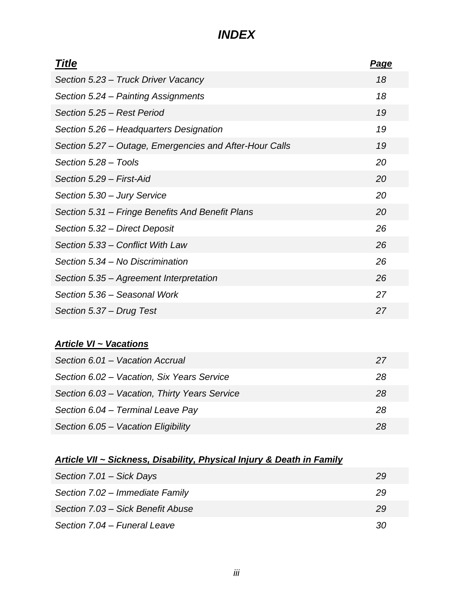| <b>Title</b>                                            | <u>Page</u> |
|---------------------------------------------------------|-------------|
| Section 5.23 – Truck Driver Vacancy                     | 18          |
| Section 5.24 - Painting Assignments                     | 18          |
| Section 5.25 - Rest Period                              | 19          |
| Section 5.26 – Headquarters Designation                 | 19          |
| Section 5.27 – Outage, Emergencies and After-Hour Calls | 19          |
| Section 5.28 - Tools                                    | 20          |
| Section 5.29 - First-Aid                                | 20          |
| Section 5.30 - Jury Service                             | 20          |
| Section 5.31 – Fringe Benefits And Benefit Plans        | 20          |
| Section 5.32 - Direct Deposit                           | 26          |
| Section 5.33 – Conflict With Law                        | 26          |
| Section 5.34 - No Discrimination                        | 26          |
| Section 5.35 - Agreement Interpretation                 | 26          |
| Section 5.36 - Seasonal Work                            | 27          |
| Section 5.37 – Drug Test                                | 27          |

### *Article VI ~ Vacations*

| Section 6.01 - Vacation Accrual               | 27 |
|-----------------------------------------------|----|
| Section 6.02 - Vacation, Six Years Service    | 28 |
| Section 6.03 - Vacation, Thirty Years Service | 28 |
| Section 6.04 - Terminal Leave Pay             | 28 |
| Section 6.05 - Vacation Eligibility           | 28 |

### *Article VII ~ Sickness, Disability, Physical Injury & Death in Family*

| Section 7.01 - Sick Days          | 29 |
|-----------------------------------|----|
| Section 7.02 - Immediate Family   | 29 |
| Section 7.03 – Sick Benefit Abuse | 29 |
| Section 7.04 – Funeral Leave      | 30 |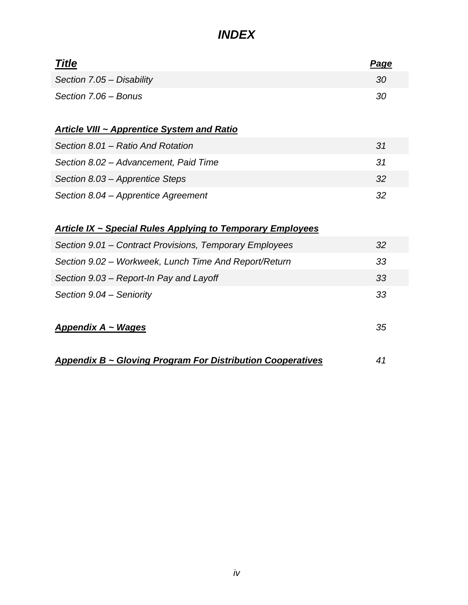| <b>Title</b>                                                       | <u>Page</u> |
|--------------------------------------------------------------------|-------------|
| Section 7.05 - Disability                                          | 30          |
| Section 7.06 - Bonus                                               | 30          |
| <b>Article VIII ~ Apprentice System and Ratio</b>                  |             |
| Section 8.01 - Ratio And Rotation                                  | 31          |
| Section 8.02 - Advancement, Paid Time                              | 31          |
| Section 8.03 - Apprentice Steps                                    | 32          |
| Section 8.04 – Apprentice Agreement                                | 32          |
| <u> Article IX ~ Special Rules Applying to Temporary Employees</u> |             |
| Section 9.01 – Contract Provisions, Temporary Employees            | 32          |
| Section 9.02 – Workweek, Lunch Time And Report/Return              | 33          |
| Section 9.03 – Report-In Pay and Layoff                            | 33          |
| Section 9.04 - Seniority                                           | 33          |
| <b>Appendix A ~ Wages</b>                                          | 35          |
| Appendix B ~ Gloving Program For Distribution Cooperatives         | 41          |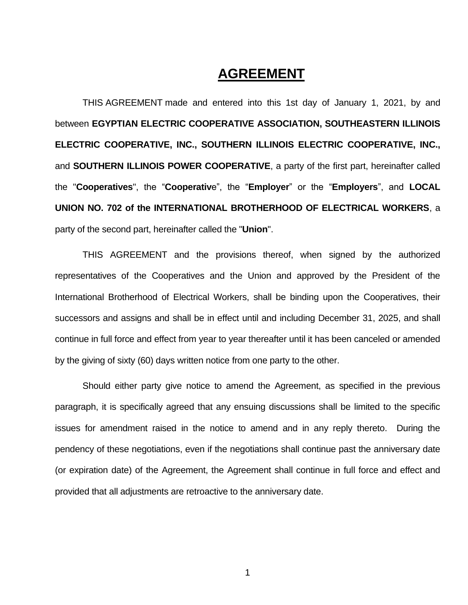# **AGREEMENT**

THIS AGREEMENT made and entered into this 1st day of January 1, 2021, by and between **EGYPTIAN ELECTRIC COOPERATIVE ASSOCIATION, SOUTHEASTERN ILLINOIS ELECTRIC COOPERATIVE, INC., SOUTHERN ILLINOIS ELECTRIC COOPERATIVE, INC.,** and **SOUTHERN ILLINOIS POWER COOPERATIVE**, a party of the first part, hereinafter called the "**Cooperatives**", the "**Cooperativ**e", the "**Employer**" or the "**Employers**", and **LOCAL UNION NO. 702 of the INTERNATIONAL BROTHERHOOD OF ELECTRICAL WORKERS**, a party of the second part, hereinafter called the "**Union**".

THIS AGREEMENT and the provisions thereof, when signed by the authorized representatives of the Cooperatives and the Union and approved by the President of the International Brotherhood of Electrical Workers, shall be binding upon the Cooperatives, their successors and assigns and shall be in effect until and including December 31, 2025, and shall continue in full force and effect from year to year thereafter until it has been canceled or amended by the giving of sixty (60) days written notice from one party to the other.

Should either party give notice to amend the Agreement, as specified in the previous paragraph, it is specifically agreed that any ensuing discussions shall be limited to the specific issues for amendment raised in the notice to amend and in any reply thereto. During the pendency of these negotiations, even if the negotiations shall continue past the anniversary date (or expiration date) of the Agreement, the Agreement shall continue in full force and effect and provided that all adjustments are retroactive to the anniversary date.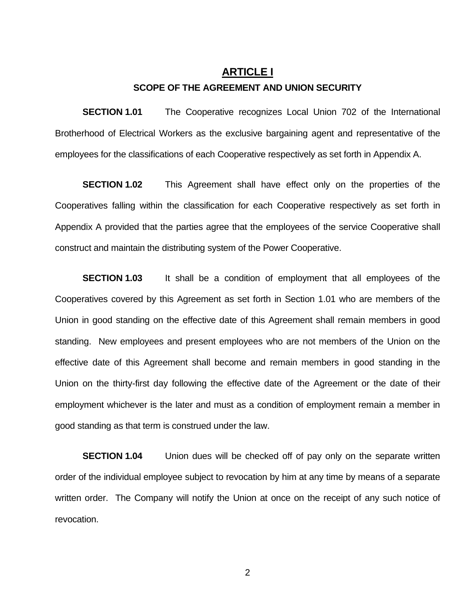#### **ARTICLE I**

#### **SCOPE OF THE AGREEMENT AND UNION SECURITY**

**SECTION 1.01** The Cooperative recognizes Local Union 702 of the International Brotherhood of Electrical Workers as the exclusive bargaining agent and representative of the employees for the classifications of each Cooperative respectively as set forth in Appendix A.

**SECTION 1.02** This Agreement shall have effect only on the properties of the Cooperatives falling within the classification for each Cooperative respectively as set forth in Appendix A provided that the parties agree that the employees of the service Cooperative shall construct and maintain the distributing system of the Power Cooperative.

**SECTION 1.03** It shall be a condition of employment that all employees of the Cooperatives covered by this Agreement as set forth in Section 1.01 who are members of the Union in good standing on the effective date of this Agreement shall remain members in good standing. New employees and present employees who are not members of the Union on the effective date of this Agreement shall become and remain members in good standing in the Union on the thirty-first day following the effective date of the Agreement or the date of their employment whichever is the later and must as a condition of employment remain a member in good standing as that term is construed under the law.

**SECTION 1.04** Union dues will be checked off of pay only on the separate written order of the individual employee subject to revocation by him at any time by means of a separate written order. The Company will notify the Union at once on the receipt of any such notice of revocation.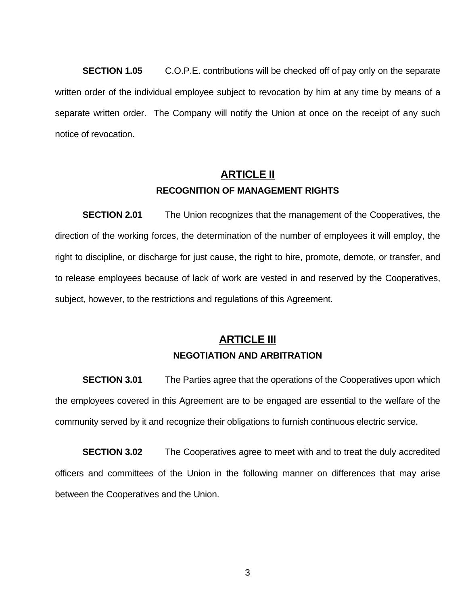**SECTION 1.05** C.O.P.E. contributions will be checked off of pay only on the separate written order of the individual employee subject to revocation by him at any time by means of a separate written order. The Company will notify the Union at once on the receipt of any such notice of revocation.

### **ARTICLE II RECOGNITION OF MANAGEMENT RIGHTS**

**SECTION 2.01** The Union recognizes that the management of the Cooperatives, the direction of the working forces, the determination of the number of employees it will employ, the right to discipline, or discharge for just cause, the right to hire, promote, demote, or transfer, and to release employees because of lack of work are vested in and reserved by the Cooperatives, subject, however, to the restrictions and regulations of this Agreement.

### **ARTICLE III NEGOTIATION AND ARBITRATION**

**SECTION 3.01** The Parties agree that the operations of the Cooperatives upon which the employees covered in this Agreement are to be engaged are essential to the welfare of the community served by it and recognize their obligations to furnish continuous electric service.

**SECTION 3.02** The Cooperatives agree to meet with and to treat the duly accredited officers and committees of the Union in the following manner on differences that may arise between the Cooperatives and the Union.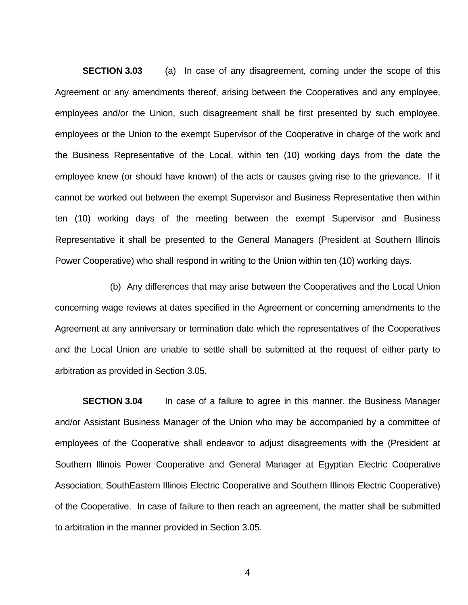**SECTION 3.03** (a) In case of any disagreement, coming under the scope of this Agreement or any amendments thereof, arising between the Cooperatives and any employee, employees and/or the Union, such disagreement shall be first presented by such employee, employees or the Union to the exempt Supervisor of the Cooperative in charge of the work and the Business Representative of the Local, within ten (10) working days from the date the employee knew (or should have known) of the acts or causes giving rise to the grievance. If it cannot be worked out between the exempt Supervisor and Business Representative then within ten (10) working days of the meeting between the exempt Supervisor and Business Representative it shall be presented to the General Managers (President at Southern Illinois Power Cooperative) who shall respond in writing to the Union within ten (10) working days.

(b) Any differences that may arise between the Cooperatives and the Local Union concerning wage reviews at dates specified in the Agreement or concerning amendments to the Agreement at any anniversary or termination date which the representatives of the Cooperatives and the Local Union are unable to settle shall be submitted at the request of either party to arbitration as provided in Section 3.05.

**SECTION 3.04** In case of a failure to agree in this manner, the Business Manager and/or Assistant Business Manager of the Union who may be accompanied by a committee of employees of the Cooperative shall endeavor to adjust disagreements with the (President at Southern Illinois Power Cooperative and General Manager at Egyptian Electric Cooperative Association, SouthEastern Illinois Electric Cooperative and Southern Illinois Electric Cooperative) of the Cooperative. In case of failure to then reach an agreement, the matter shall be submitted to arbitration in the manner provided in Section 3.05.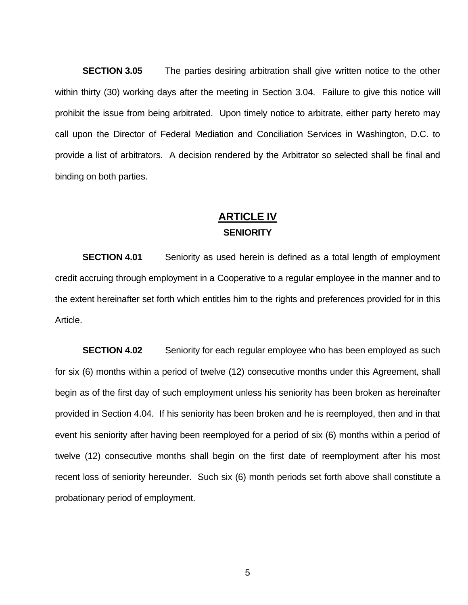**SECTION 3.05** The parties desiring arbitration shall give written notice to the other within thirty (30) working days after the meeting in Section 3.04. Failure to give this notice will prohibit the issue from being arbitrated. Upon timely notice to arbitrate, either party hereto may call upon the Director of Federal Mediation and Conciliation Services in Washington, D.C. to provide a list of arbitrators. A decision rendered by the Arbitrator so selected shall be final and binding on both parties.

### **ARTICLE IV SENIORITY**

**SECTION 4.01** Seniority as used herein is defined as a total length of employment credit accruing through employment in a Cooperative to a regular employee in the manner and to the extent hereinafter set forth which entitles him to the rights and preferences provided for in this Article.

**SECTION 4.02** Seniority for each regular employee who has been employed as such for six (6) months within a period of twelve (12) consecutive months under this Agreement, shall begin as of the first day of such employment unless his seniority has been broken as hereinafter provided in Section 4.04. If his seniority has been broken and he is reemployed, then and in that event his seniority after having been reemployed for a period of six (6) months within a period of twelve (12) consecutive months shall begin on the first date of reemployment after his most recent loss of seniority hereunder. Such six (6) month periods set forth above shall constitute a probationary period of employment.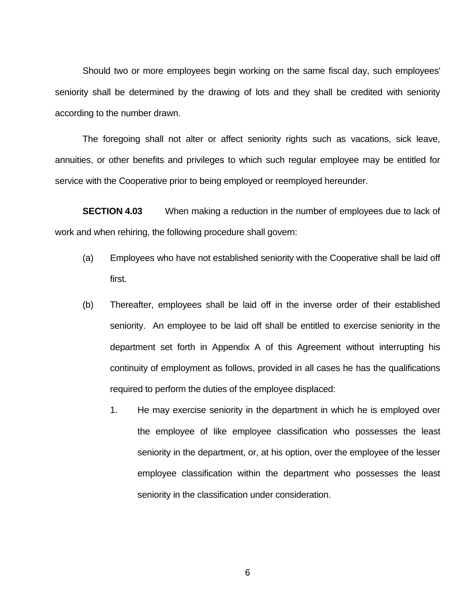Should two or more employees begin working on the same fiscal day, such employees' seniority shall be determined by the drawing of lots and they shall be credited with seniority according to the number drawn.

The foregoing shall not alter or affect seniority rights such as vacations, sick leave, annuities, or other benefits and privileges to which such regular employee may be entitled for service with the Cooperative prior to being employed or reemployed hereunder.

**SECTION 4.03** When making a reduction in the number of employees due to lack of work and when rehiring, the following procedure shall govern:

- (a) Employees who have not established seniority with the Cooperative shall be laid off first.
- (b) Thereafter, employees shall be laid off in the inverse order of their established seniority. An employee to be laid off shall be entitled to exercise seniority in the department set forth in Appendix A of this Agreement without interrupting his continuity of employment as follows, provided in all cases he has the qualifications required to perform the duties of the employee displaced:
	- 1. He may exercise seniority in the department in which he is employed over the employee of like employee classification who possesses the least seniority in the department, or, at his option, over the employee of the lesser employee classification within the department who possesses the least seniority in the classification under consideration.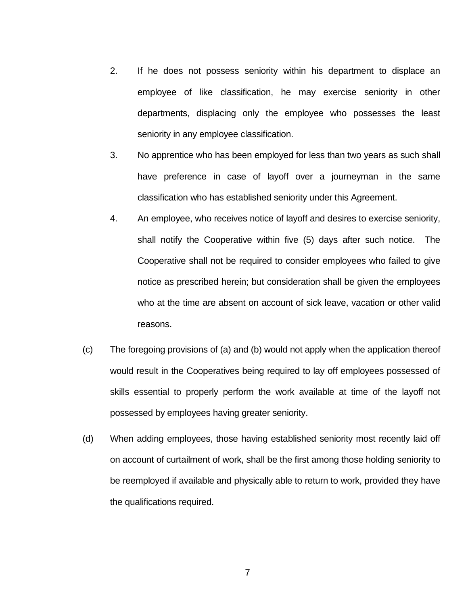- 2. If he does not possess seniority within his department to displace an employee of like classification, he may exercise seniority in other departments, displacing only the employee who possesses the least seniority in any employee classification.
- 3. No apprentice who has been employed for less than two years as such shall have preference in case of layoff over a journeyman in the same classification who has established seniority under this Agreement.
- 4. An employee, who receives notice of layoff and desires to exercise seniority, shall notify the Cooperative within five (5) days after such notice. The Cooperative shall not be required to consider employees who failed to give notice as prescribed herein; but consideration shall be given the employees who at the time are absent on account of sick leave, vacation or other valid reasons.
- (c) The foregoing provisions of (a) and (b) would not apply when the application thereof would result in the Cooperatives being required to lay off employees possessed of skills essential to properly perform the work available at time of the layoff not possessed by employees having greater seniority.
- (d) When adding employees, those having established seniority most recently laid off on account of curtailment of work, shall be the first among those holding seniority to be reemployed if available and physically able to return to work, provided they have the qualifications required.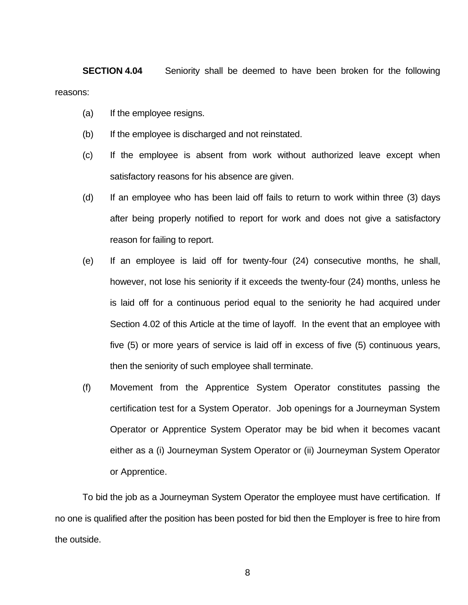**SECTION 4.04** Seniority shall be deemed to have been broken for the following reasons:

- (a) If the employee resigns.
- (b) If the employee is discharged and not reinstated.
- (c) If the employee is absent from work without authorized leave except when satisfactory reasons for his absence are given.
- (d) If an employee who has been laid off fails to return to work within three (3) days after being properly notified to report for work and does not give a satisfactory reason for failing to report.
- (e) If an employee is laid off for twenty-four (24) consecutive months, he shall, however, not lose his seniority if it exceeds the twenty-four (24) months, unless he is laid off for a continuous period equal to the seniority he had acquired under Section 4.02 of this Article at the time of layoff. In the event that an employee with five (5) or more years of service is laid off in excess of five (5) continuous years, then the seniority of such employee shall terminate.
- (f) Movement from the Apprentice System Operator constitutes passing the certification test for a System Operator. Job openings for a Journeyman System Operator or Apprentice System Operator may be bid when it becomes vacant either as a (i) Journeyman System Operator or (ii) Journeyman System Operator or Apprentice.

To bid the job as a Journeyman System Operator the employee must have certification. If no one is qualified after the position has been posted for bid then the Employer is free to hire from the outside.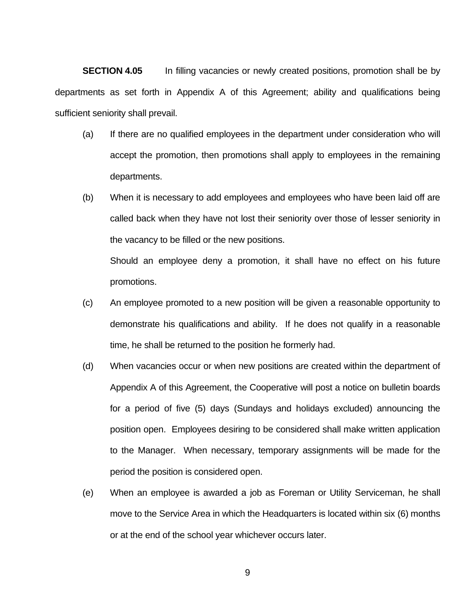**SECTION 4.05** In filling vacancies or newly created positions, promotion shall be by departments as set forth in Appendix A of this Agreement; ability and qualifications being sufficient seniority shall prevail.

- (a) If there are no qualified employees in the department under consideration who will accept the promotion, then promotions shall apply to employees in the remaining departments.
- (b) When it is necessary to add employees and employees who have been laid off are called back when they have not lost their seniority over those of lesser seniority in the vacancy to be filled or the new positions.

Should an employee deny a promotion, it shall have no effect on his future promotions.

- (c) An employee promoted to a new position will be given a reasonable opportunity to demonstrate his qualifications and ability. If he does not qualify in a reasonable time, he shall be returned to the position he formerly had.
- (d) When vacancies occur or when new positions are created within the department of Appendix A of this Agreement, the Cooperative will post a notice on bulletin boards for a period of five (5) days (Sundays and holidays excluded) announcing the position open. Employees desiring to be considered shall make written application to the Manager. When necessary, temporary assignments will be made for the period the position is considered open.
- (e) When an employee is awarded a job as Foreman or Utility Serviceman, he shall move to the Service Area in which the Headquarters is located within six (6) months or at the end of the school year whichever occurs later.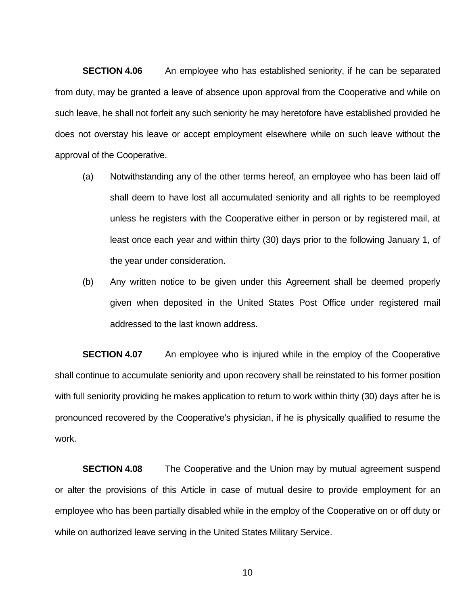**SECTION 4.06** An employee who has established seniority, if he can be separated from duty, may be granted a leave of absence upon approval from the Cooperative and while on such leave, he shall not forfeit any such seniority he may heretofore have established provided he does not overstay his leave or accept employment elsewhere while on such leave without the approval of the Cooperative.

- (a) Notwithstanding any of the other terms hereof, an employee who has been laid off shall deem to have lost all accumulated seniority and all rights to be reemployed unless he registers with the Cooperative either in person or by registered mail, at least once each year and within thirty (30) days prior to the following January 1, of the year under consideration.
- (b) Any written notice to be given under this Agreement shall be deemed properly given when deposited in the United States Post Office under registered mail addressed to the last known address.

**SECTION 4.07** An employee who is injured while in the employ of the Cooperative shall continue to accumulate seniority and upon recovery shall be reinstated to his former position with full seniority providing he makes application to return to work within thirty (30) days after he is pronounced recovered by the Cooperative's physician, if he is physically qualified to resume the work.

**SECTION 4.08** The Cooperative and the Union may by mutual agreement suspend or alter the provisions of this Article in case of mutual desire to provide employment for an employee who has been partially disabled while in the employ of the Cooperative on or off duty or while on authorized leave serving in the United States Military Service.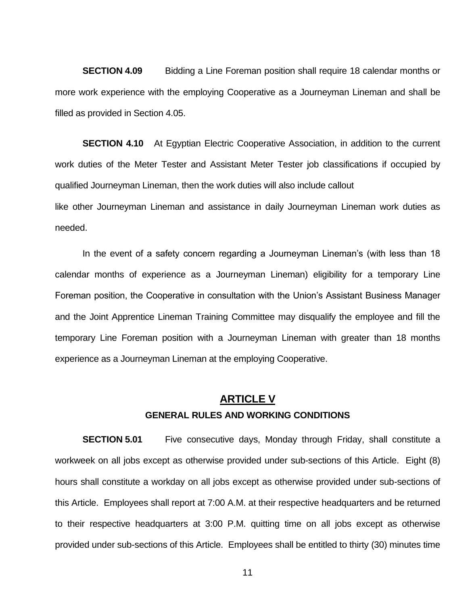**SECTION 4.09** Bidding a Line Foreman position shall require 18 calendar months or more work experience with the employing Cooperative as a Journeyman Lineman and shall be filled as provided in Section 4.05.

**SECTION 4.10** At Egyptian Electric Cooperative Association, in addition to the current work duties of the Meter Tester and Assistant Meter Tester job classifications if occupied by qualified Journeyman Lineman, then the work duties will also include callout like other Journeyman Lineman and assistance in daily Journeyman Lineman work duties as

needed.

In the event of a safety concern regarding a Journeyman Lineman's (with less than 18 calendar months of experience as a Journeyman Lineman) eligibility for a temporary Line Foreman position, the Cooperative in consultation with the Union's Assistant Business Manager and the Joint Apprentice Lineman Training Committee may disqualify the employee and fill the temporary Line Foreman position with a Journeyman Lineman with greater than 18 months experience as a Journeyman Lineman at the employing Cooperative.

### **ARTICLE V GENERAL RULES AND WORKING CONDITIONS**

**SECTION 5.01** Five consecutive days, Monday through Friday, shall constitute a workweek on all jobs except as otherwise provided under sub-sections of this Article. Eight (8) hours shall constitute a workday on all jobs except as otherwise provided under sub-sections of this Article. Employees shall report at 7:00 A.M. at their respective headquarters and be returned to their respective headquarters at 3:00 P.M. quitting time on all jobs except as otherwise provided under sub-sections of this Article. Employees shall be entitled to thirty (30) minutes time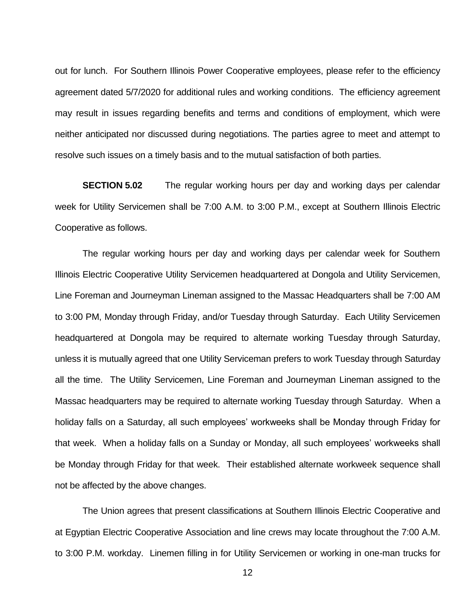out for lunch. For Southern Illinois Power Cooperative employees, please refer to the efficiency agreement dated 5/7/2020 for additional rules and working conditions. The efficiency agreement may result in issues regarding benefits and terms and conditions of employment, which were neither anticipated nor discussed during negotiations. The parties agree to meet and attempt to resolve such issues on a timely basis and to the mutual satisfaction of both parties.

**SECTION 5.02** The regular working hours per day and working days per calendar week for Utility Servicemen shall be 7:00 A.M. to 3:00 P.M., except at Southern Illinois Electric Cooperative as follows.

The regular working hours per day and working days per calendar week for Southern Illinois Electric Cooperative Utility Servicemen headquartered at Dongola and Utility Servicemen, Line Foreman and Journeyman Lineman assigned to the Massac Headquarters shall be 7:00 AM to 3:00 PM, Monday through Friday, and/or Tuesday through Saturday. Each Utility Servicemen headquartered at Dongola may be required to alternate working Tuesday through Saturday, unless it is mutually agreed that one Utility Serviceman prefers to work Tuesday through Saturday all the time. The Utility Servicemen, Line Foreman and Journeyman Lineman assigned to the Massac headquarters may be required to alternate working Tuesday through Saturday. When a holiday falls on a Saturday, all such employees' workweeks shall be Monday through Friday for that week. When a holiday falls on a Sunday or Monday, all such employees' workweeks shall be Monday through Friday for that week. Their established alternate workweek sequence shall not be affected by the above changes.

The Union agrees that present classifications at Southern Illinois Electric Cooperative and at Egyptian Electric Cooperative Association and line crews may locate throughout the 7:00 A.M. to 3:00 P.M. workday. Linemen filling in for Utility Servicemen or working in one-man trucks for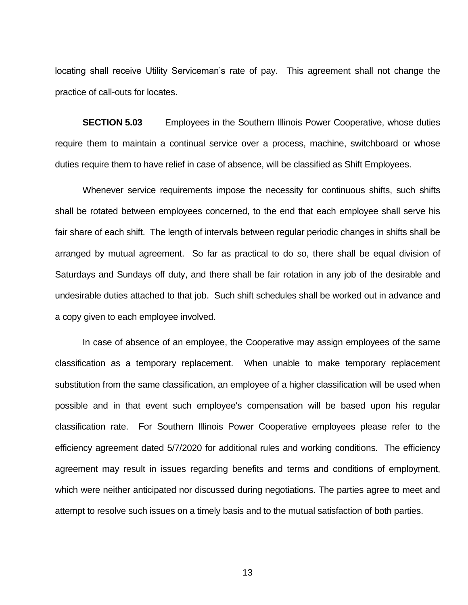locating shall receive Utility Serviceman's rate of pay. This agreement shall not change the practice of call-outs for locates.

**SECTION 5.03** Employees in the Southern Illinois Power Cooperative, whose duties require them to maintain a continual service over a process, machine, switchboard or whose duties require them to have relief in case of absence, will be classified as Shift Employees.

Whenever service requirements impose the necessity for continuous shifts, such shifts shall be rotated between employees concerned, to the end that each employee shall serve his fair share of each shift. The length of intervals between regular periodic changes in shifts shall be arranged by mutual agreement. So far as practical to do so, there shall be equal division of Saturdays and Sundays off duty, and there shall be fair rotation in any job of the desirable and undesirable duties attached to that job. Such shift schedules shall be worked out in advance and a copy given to each employee involved.

In case of absence of an employee, the Cooperative may assign employees of the same classification as a temporary replacement. When unable to make temporary replacement substitution from the same classification, an employee of a higher classification will be used when possible and in that event such employee's compensation will be based upon his regular classification rate. For Southern Illinois Power Cooperative employees please refer to the efficiency agreement dated 5/7/2020 for additional rules and working conditions. The efficiency agreement may result in issues regarding benefits and terms and conditions of employment, which were neither anticipated nor discussed during negotiations. The parties agree to meet and attempt to resolve such issues on a timely basis and to the mutual satisfaction of both parties.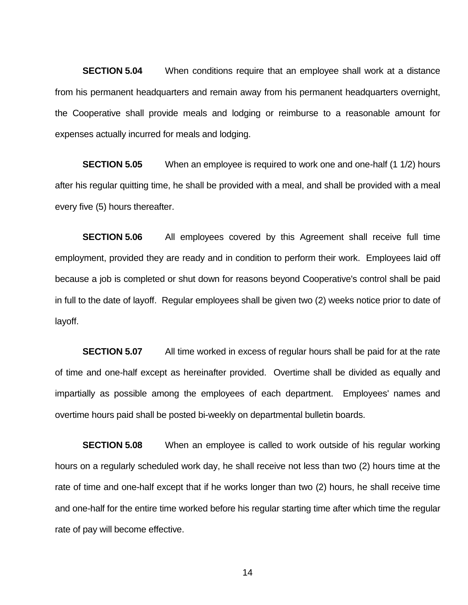**SECTION 5.04** When conditions require that an employee shall work at a distance from his permanent headquarters and remain away from his permanent headquarters overnight, the Cooperative shall provide meals and lodging or reimburse to a reasonable amount for expenses actually incurred for meals and lodging.

**SECTION 5.05** When an employee is required to work one and one-half (1 1/2) hours after his regular quitting time, he shall be provided with a meal, and shall be provided with a meal every five (5) hours thereafter.

**SECTION 5.06** All employees covered by this Agreement shall receive full time employment, provided they are ready and in condition to perform their work. Employees laid off because a job is completed or shut down for reasons beyond Cooperative's control shall be paid in full to the date of layoff. Regular employees shall be given two (2) weeks notice prior to date of layoff.

**SECTION 5.07** All time worked in excess of regular hours shall be paid for at the rate of time and one-half except as hereinafter provided. Overtime shall be divided as equally and impartially as possible among the employees of each department. Employees' names and overtime hours paid shall be posted bi-weekly on departmental bulletin boards.

**SECTION 5.08** When an employee is called to work outside of his regular working hours on a regularly scheduled work day, he shall receive not less than two (2) hours time at the rate of time and one-half except that if he works longer than two (2) hours, he shall receive time and one-half for the entire time worked before his regular starting time after which time the regular rate of pay will become effective.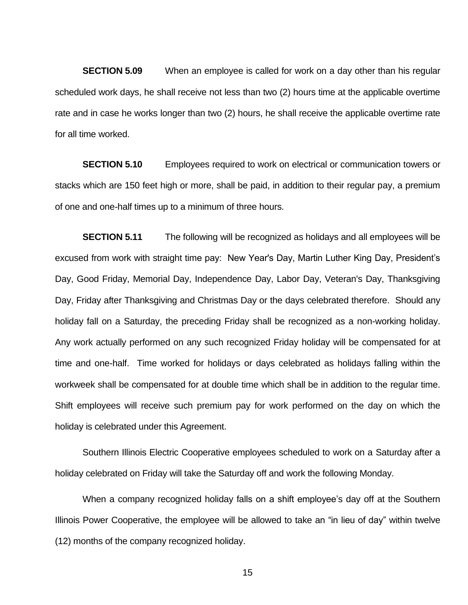**SECTION 5.09** When an employee is called for work on a day other than his regular scheduled work days, he shall receive not less than two (2) hours time at the applicable overtime rate and in case he works longer than two (2) hours, he shall receive the applicable overtime rate for all time worked.

**SECTION 5.10** Employees required to work on electrical or communication towers or stacks which are 150 feet high or more, shall be paid, in addition to their regular pay, a premium of one and one-half times up to a minimum of three hours.

**SECTION 5.11** The following will be recognized as holidays and all employees will be excused from work with straight time pay: New Year's Day, Martin Luther King Day, President's Day, Good Friday, Memorial Day, Independence Day, Labor Day, Veteran's Day, Thanksgiving Day, Friday after Thanksgiving and Christmas Day or the days celebrated therefore. Should any holiday fall on a Saturday, the preceding Friday shall be recognized as a non-working holiday. Any work actually performed on any such recognized Friday holiday will be compensated for at time and one-half. Time worked for holidays or days celebrated as holidays falling within the workweek shall be compensated for at double time which shall be in addition to the regular time. Shift employees will receive such premium pay for work performed on the day on which the holiday is celebrated under this Agreement.

Southern Illinois Electric Cooperative employees scheduled to work on a Saturday after a holiday celebrated on Friday will take the Saturday off and work the following Monday.

When a company recognized holiday falls on a shift employee's day off at the Southern Illinois Power Cooperative, the employee will be allowed to take an "in lieu of day" within twelve (12) months of the company recognized holiday.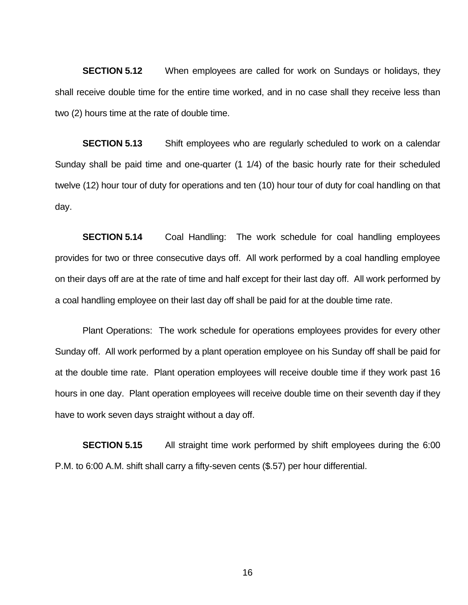**SECTION 5.12** When employees are called for work on Sundays or holidays, they shall receive double time for the entire time worked, and in no case shall they receive less than two (2) hours time at the rate of double time.

**SECTION 5.13** Shift employees who are regularly scheduled to work on a calendar Sunday shall be paid time and one-quarter (1 1/4) of the basic hourly rate for their scheduled twelve (12) hour tour of duty for operations and ten (10) hour tour of duty for coal handling on that day.

**SECTION 5.14** Coal Handling: The work schedule for coal handling employees provides for two or three consecutive days off. All work performed by a coal handling employee on their days off are at the rate of time and half except for their last day off. All work performed by a coal handling employee on their last day off shall be paid for at the double time rate.

Plant Operations: The work schedule for operations employees provides for every other Sunday off. All work performed by a plant operation employee on his Sunday off shall be paid for at the double time rate. Plant operation employees will receive double time if they work past 16 hours in one day. Plant operation employees will receive double time on their seventh day if they have to work seven days straight without a day off.

**SECTION 5.15** All straight time work performed by shift employees during the 6:00 P.M. to 6:00 A.M. shift shall carry a fifty-seven cents (\$.57) per hour differential.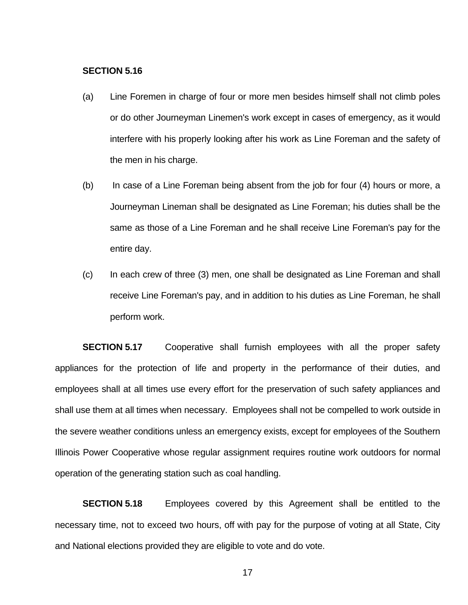#### **SECTION 5.16**

- (a) Line Foremen in charge of four or more men besides himself shall not climb poles or do other Journeyman Linemen's work except in cases of emergency, as it would interfere with his properly looking after his work as Line Foreman and the safety of the men in his charge.
- (b) In case of a Line Foreman being absent from the job for four (4) hours or more, a Journeyman Lineman shall be designated as Line Foreman; his duties shall be the same as those of a Line Foreman and he shall receive Line Foreman's pay for the entire day.
- (c) In each crew of three (3) men, one shall be designated as Line Foreman and shall receive Line Foreman's pay, and in addition to his duties as Line Foreman, he shall perform work.

**SECTION 5.17** Cooperative shall furnish employees with all the proper safety appliances for the protection of life and property in the performance of their duties, and employees shall at all times use every effort for the preservation of such safety appliances and shall use them at all times when necessary. Employees shall not be compelled to work outside in the severe weather conditions unless an emergency exists, except for employees of the Southern Illinois Power Cooperative whose regular assignment requires routine work outdoors for normal operation of the generating station such as coal handling.

**SECTION 5.18** Employees covered by this Agreement shall be entitled to the necessary time, not to exceed two hours, off with pay for the purpose of voting at all State, City and National elections provided they are eligible to vote and do vote.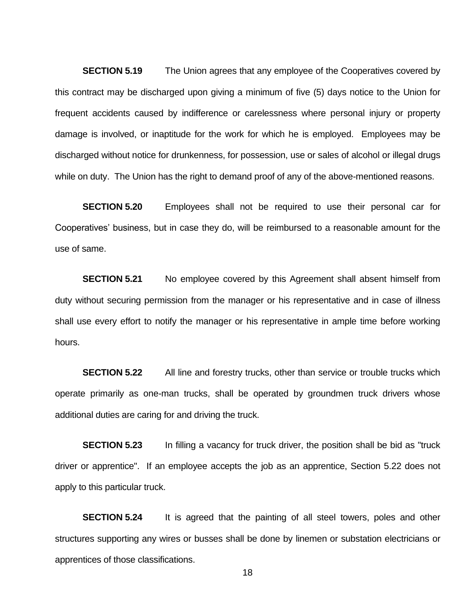**SECTION 5.19** The Union agrees that any employee of the Cooperatives covered by this contract may be discharged upon giving a minimum of five (5) days notice to the Union for frequent accidents caused by indifference or carelessness where personal injury or property damage is involved, or inaptitude for the work for which he is employed. Employees may be discharged without notice for drunkenness, for possession, use or sales of alcohol or illegal drugs while on duty. The Union has the right to demand proof of any of the above-mentioned reasons.

**SECTION 5.20** Employees shall not be required to use their personal car for Cooperatives' business, but in case they do, will be reimbursed to a reasonable amount for the use of same.

**SECTION 5.21** No employee covered by this Agreement shall absent himself from duty without securing permission from the manager or his representative and in case of illness shall use every effort to notify the manager or his representative in ample time before working hours.

**SECTION 5.22** All line and forestry trucks, other than service or trouble trucks which operate primarily as one-man trucks, shall be operated by groundmen truck drivers whose additional duties are caring for and driving the truck.

**SECTION 5.23** In filling a vacancy for truck driver, the position shall be bid as "truck driver or apprentice". If an employee accepts the job as an apprentice, Section 5.22 does not apply to this particular truck.

**SECTION 5.24** It is agreed that the painting of all steel towers, poles and other structures supporting any wires or busses shall be done by linemen or substation electricians or apprentices of those classifications.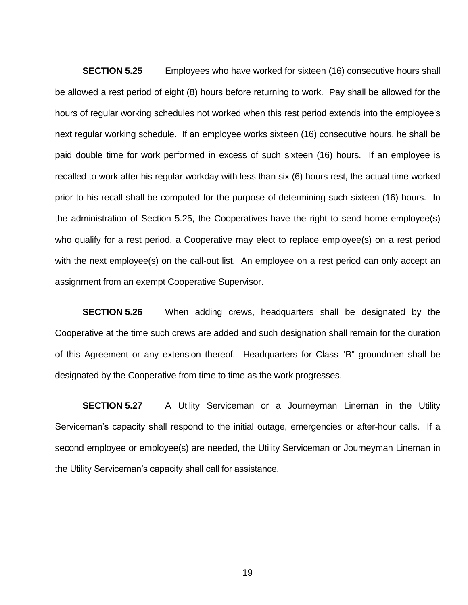**SECTION 5.25** Employees who have worked for sixteen (16) consecutive hours shall be allowed a rest period of eight (8) hours before returning to work. Pay shall be allowed for the hours of regular working schedules not worked when this rest period extends into the employee's next regular working schedule. If an employee works sixteen (16) consecutive hours, he shall be paid double time for work performed in excess of such sixteen (16) hours. If an employee is recalled to work after his regular workday with less than six (6) hours rest, the actual time worked prior to his recall shall be computed for the purpose of determining such sixteen (16) hours. In the administration of Section 5.25, the Cooperatives have the right to send home employee(s) who qualify for a rest period, a Cooperative may elect to replace employee(s) on a rest period with the next employee(s) on the call-out list. An employee on a rest period can only accept an assignment from an exempt Cooperative Supervisor.

**SECTION 5.26** When adding crews, headquarters shall be designated by the Cooperative at the time such crews are added and such designation shall remain for the duration of this Agreement or any extension thereof. Headquarters for Class "B" groundmen shall be designated by the Cooperative from time to time as the work progresses.

**SECTION 5.27** A Utility Serviceman or a Journeyman Lineman in the Utility Serviceman's capacity shall respond to the initial outage, emergencies or after-hour calls. If a second employee or employee(s) are needed, the Utility Serviceman or Journeyman Lineman in the Utility Serviceman's capacity shall call for assistance.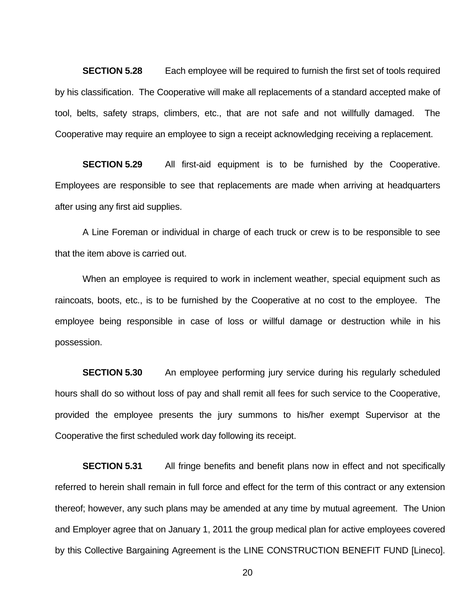**SECTION 5.28** Each employee will be required to furnish the first set of tools required by his classification. The Cooperative will make all replacements of a standard accepted make of tool, belts, safety straps, climbers, etc., that are not safe and not willfully damaged. The Cooperative may require an employee to sign a receipt acknowledging receiving a replacement.

**SECTION 5.29** All first-aid equipment is to be furnished by the Cooperative. Employees are responsible to see that replacements are made when arriving at headquarters after using any first aid supplies.

A Line Foreman or individual in charge of each truck or crew is to be responsible to see that the item above is carried out.

When an employee is required to work in inclement weather, special equipment such as raincoats, boots, etc., is to be furnished by the Cooperative at no cost to the employee. The employee being responsible in case of loss or willful damage or destruction while in his possession.

**SECTION 5.30** An employee performing jury service during his regularly scheduled hours shall do so without loss of pay and shall remit all fees for such service to the Cooperative, provided the employee presents the jury summons to his/her exempt Supervisor at the Cooperative the first scheduled work day following its receipt.

**SECTION 5.31** All fringe benefits and benefit plans now in effect and not specifically referred to herein shall remain in full force and effect for the term of this contract or any extension thereof; however, any such plans may be amended at any time by mutual agreement. The Union and Employer agree that on January 1, 2011 the group medical plan for active employees covered by this Collective Bargaining Agreement is the LINE CONSTRUCTION BENEFIT FUND [Lineco].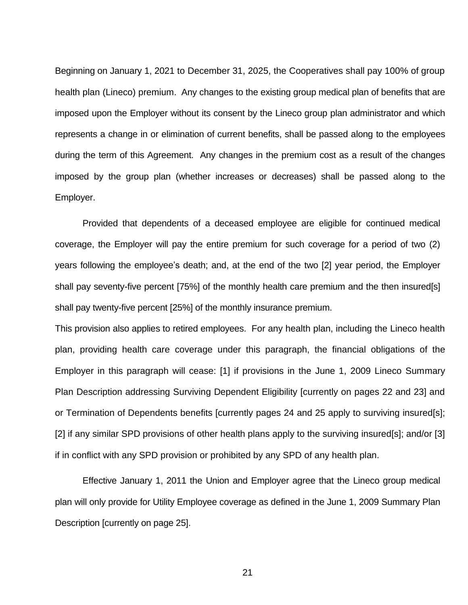Beginning on January 1, 2021 to December 31, 2025, the Cooperatives shall pay 100% of group health plan (Lineco) premium. Any changes to the existing group medical plan of benefits that are imposed upon the Employer without its consent by the Lineco group plan administrator and which represents a change in or elimination of current benefits, shall be passed along to the employees during the term of this Agreement. Any changes in the premium cost as a result of the changes imposed by the group plan (whether increases or decreases) shall be passed along to the Employer.

Provided that dependents of a deceased employee are eligible for continued medical coverage, the Employer will pay the entire premium for such coverage for a period of two (2) years following the employee's death; and, at the end of the two [2] year period, the Employer shall pay seventy-five percent [75%] of the monthly health care premium and the then insured[s] shall pay twenty-five percent [25%] of the monthly insurance premium.

This provision also applies to retired employees. For any health plan, including the Lineco health plan, providing health care coverage under this paragraph, the financial obligations of the Employer in this paragraph will cease: [1] if provisions in the June 1, 2009 Lineco Summary Plan Description addressing Surviving Dependent Eligibility [currently on pages 22 and 23] and or Termination of Dependents benefits [currently pages 24 and 25 apply to surviving insured[s]; [2] if any similar SPD provisions of other health plans apply to the surviving insured[s]; and/or [3] if in conflict with any SPD provision or prohibited by any SPD of any health plan.

Effective January 1, 2011 the Union and Employer agree that the Lineco group medical plan will only provide for Utility Employee coverage as defined in the June 1, 2009 Summary Plan Description [currently on page 25].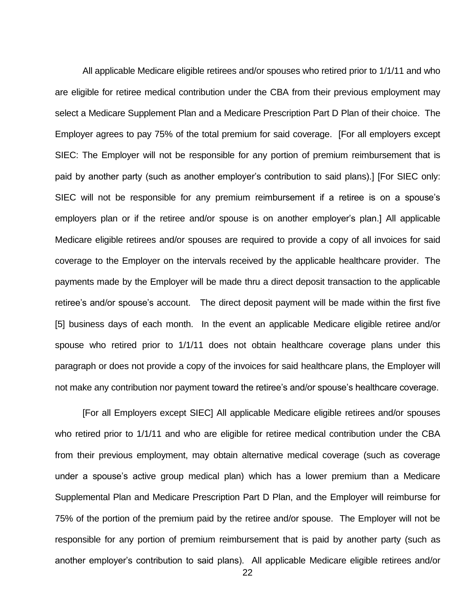All applicable Medicare eligible retirees and/or spouses who retired prior to 1/1/11 and who are eligible for retiree medical contribution under the CBA from their previous employment may select a Medicare Supplement Plan and a Medicare Prescription Part D Plan of their choice. The Employer agrees to pay 75% of the total premium for said coverage. [For all employers except SIEC: The Employer will not be responsible for any portion of premium reimbursement that is paid by another party (such as another employer's contribution to said plans).] [For SIEC only: SIEC will not be responsible for any premium reimbursement if a retiree is on a spouse's employers plan or if the retiree and/or spouse is on another employer's plan.] All applicable Medicare eligible retirees and/or spouses are required to provide a copy of all invoices for said coverage to the Employer on the intervals received by the applicable healthcare provider. The payments made by the Employer will be made thru a direct deposit transaction to the applicable retiree's and/or spouse's account. The direct deposit payment will be made within the first five [5] business days of each month. In the event an applicable Medicare eligible retiree and/or spouse who retired prior to 1/1/11 does not obtain healthcare coverage plans under this paragraph or does not provide a copy of the invoices for said healthcare plans, the Employer will not make any contribution nor payment toward the retiree's and/or spouse's healthcare coverage.

[For all Employers except SIEC] All applicable Medicare eligible retirees and/or spouses who retired prior to 1/1/11 and who are eligible for retiree medical contribution under the CBA from their previous employment, may obtain alternative medical coverage (such as coverage under a spouse's active group medical plan) which has a lower premium than a Medicare Supplemental Plan and Medicare Prescription Part D Plan, and the Employer will reimburse for 75% of the portion of the premium paid by the retiree and/or spouse. The Employer will not be responsible for any portion of premium reimbursement that is paid by another party (such as another employer's contribution to said plans). All applicable Medicare eligible retirees and/or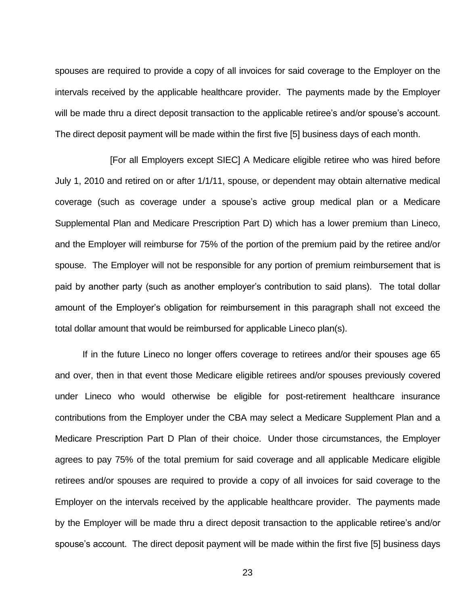spouses are required to provide a copy of all invoices for said coverage to the Employer on the intervals received by the applicable healthcare provider. The payments made by the Employer will be made thru a direct deposit transaction to the applicable retiree's and/or spouse's account. The direct deposit payment will be made within the first five [5] business days of each month.

[For all Employers except SIEC] A Medicare eligible retiree who was hired before July 1, 2010 and retired on or after 1/1/11, spouse, or dependent may obtain alternative medical coverage (such as coverage under a spouse's active group medical plan or a Medicare Supplemental Plan and Medicare Prescription Part D) which has a lower premium than Lineco, and the Employer will reimburse for 75% of the portion of the premium paid by the retiree and/or spouse. The Employer will not be responsible for any portion of premium reimbursement that is paid by another party (such as another employer's contribution to said plans). The total dollar amount of the Employer's obligation for reimbursement in this paragraph shall not exceed the total dollar amount that would be reimbursed for applicable Lineco plan(s).

If in the future Lineco no longer offers coverage to retirees and/or their spouses age 65 and over, then in that event those Medicare eligible retirees and/or spouses previously covered under Lineco who would otherwise be eligible for post-retirement healthcare insurance contributions from the Employer under the CBA may select a Medicare Supplement Plan and a Medicare Prescription Part D Plan of their choice. Under those circumstances, the Employer agrees to pay 75% of the total premium for said coverage and all applicable Medicare eligible retirees and/or spouses are required to provide a copy of all invoices for said coverage to the Employer on the intervals received by the applicable healthcare provider. The payments made by the Employer will be made thru a direct deposit transaction to the applicable retiree's and/or spouse's account. The direct deposit payment will be made within the first five [5] business days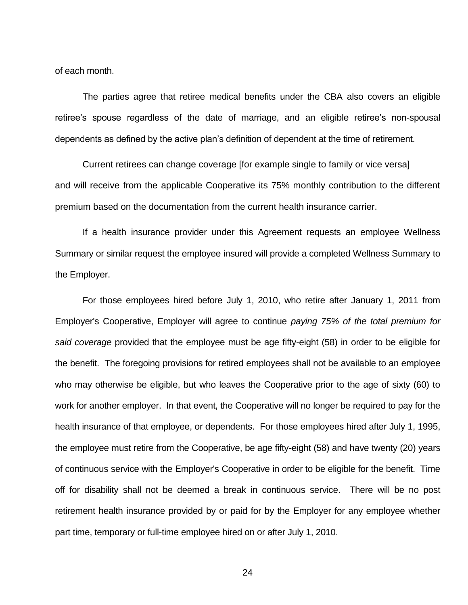of each month.

The parties agree that retiree medical benefits under the CBA also covers an eligible retiree's spouse regardless of the date of marriage, and an eligible retiree's non-spousal dependents as defined by the active plan's definition of dependent at the time of retirement.

Current retirees can change coverage [for example single to family or vice versa] and will receive from the applicable Cooperative its 75% monthly contribution to the different premium based on the documentation from the current health insurance carrier.

If a health insurance provider under this Agreement requests an employee Wellness Summary or similar request the employee insured will provide a completed Wellness Summary to the Employer.

For those employees hired before July 1, 2010, who retire after January 1, 2011 from Employer's Cooperative, Employer will agree to continue *paying 75% of the total premium for said coverage* provided that the employee must be age fifty-eight (58) in order to be eligible for the benefit. The foregoing provisions for retired employees shall not be available to an employee who may otherwise be eligible, but who leaves the Cooperative prior to the age of sixty (60) to work for another employer. In that event, the Cooperative will no longer be required to pay for the health insurance of that employee, or dependents. For those employees hired after July 1, 1995, the employee must retire from the Cooperative, be age fifty-eight (58) and have twenty (20) years of continuous service with the Employer's Cooperative in order to be eligible for the benefit. Time off for disability shall not be deemed a break in continuous service. There will be no post retirement health insurance provided by or paid for by the Employer for any employee whether part time, temporary or full-time employee hired on or after July 1, 2010.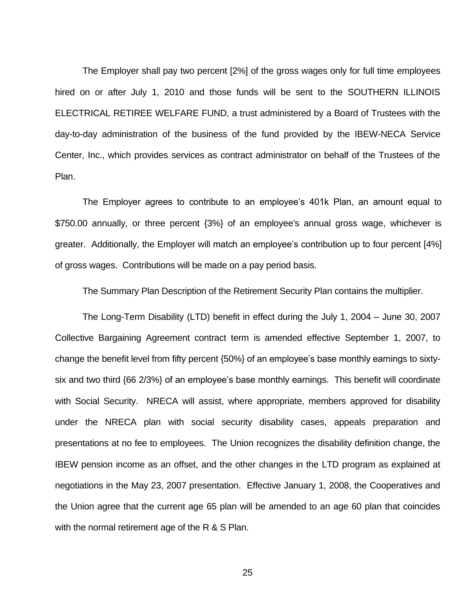The Employer shall pay two percent [2%] of the gross wages only for full time employees hired on or after July 1, 2010 and those funds will be sent to the SOUTHERN ILLINOIS ELECTRICAL RETIREE WELFARE FUND, a trust administered by a Board of Trustees with the day-to-day administration of the business of the fund provided by the IBEW-NECA Service Center, Inc., which provides services as contract administrator on behalf of the Trustees of the Plan.

The Employer agrees to contribute to an employee's 401k Plan, an amount equal to \$750.00 annually, or three percent {3%} of an employee's annual gross wage, whichever is greater. Additionally, the Employer will match an employee's contribution up to four percent [4%] of gross wages. Contributions will be made on a pay period basis.

The Summary Plan Description of the Retirement Security Plan contains the multiplier.

The Long-Term Disability (LTD) benefit in effect during the July 1, 2004 – June 30, 2007 Collective Bargaining Agreement contract term is amended effective September 1, 2007, to change the benefit level from fifty percent {50%} of an employee's base monthly earnings to sixtysix and two third {66 2/3%} of an employee's base monthly earnings. This benefit will coordinate with Social Security. NRECA will assist, where appropriate, members approved for disability under the NRECA plan with social security disability cases, appeals preparation and presentations at no fee to employees. The Union recognizes the disability definition change, the IBEW pension income as an offset, and the other changes in the LTD program as explained at negotiations in the May 23, 2007 presentation. Effective January 1, 2008, the Cooperatives and the Union agree that the current age 65 plan will be amended to an age 60 plan that coincides with the normal retirement age of the R & S Plan.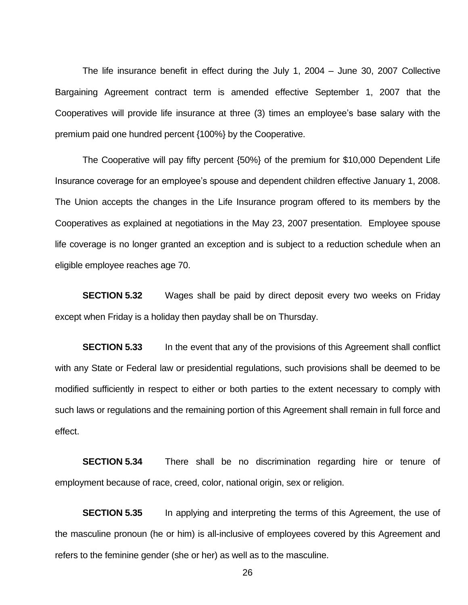The life insurance benefit in effect during the July 1, 2004 – June 30, 2007 Collective Bargaining Agreement contract term is amended effective September 1, 2007 that the Cooperatives will provide life insurance at three (3) times an employee's base salary with the premium paid one hundred percent {100%} by the Cooperative.

The Cooperative will pay fifty percent {50%} of the premium for \$10,000 Dependent Life Insurance coverage for an employee's spouse and dependent children effective January 1, 2008. The Union accepts the changes in the Life Insurance program offered to its members by the Cooperatives as explained at negotiations in the May 23, 2007 presentation. Employee spouse life coverage is no longer granted an exception and is subject to a reduction schedule when an eligible employee reaches age 70.

**SECTION 5.32** Wages shall be paid by direct deposit every two weeks on Friday except when Friday is a holiday then payday shall be on Thursday.

**SECTION 5.33** In the event that any of the provisions of this Agreement shall conflict with any State or Federal law or presidential regulations, such provisions shall be deemed to be modified sufficiently in respect to either or both parties to the extent necessary to comply with such laws or regulations and the remaining portion of this Agreement shall remain in full force and effect.

**SECTION 5.34** There shall be no discrimination regarding hire or tenure of employment because of race, creed, color, national origin, sex or religion.

**SECTION 5.35** In applying and interpreting the terms of this Agreement, the use of the masculine pronoun (he or him) is all-inclusive of employees covered by this Agreement and refers to the feminine gender (she or her) as well as to the masculine.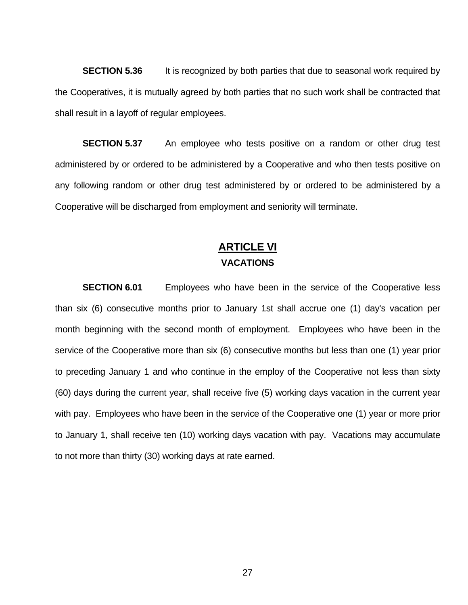**SECTION 5.36** It is recognized by both parties that due to seasonal work required by the Cooperatives, it is mutually agreed by both parties that no such work shall be contracted that shall result in a layoff of regular employees.

**SECTION 5.37** An employee who tests positive on a random or other drug test administered by or ordered to be administered by a Cooperative and who then tests positive on any following random or other drug test administered by or ordered to be administered by a Cooperative will be discharged from employment and seniority will terminate.

### **ARTICLE VI VACATIONS**

**SECTION 6.01** Employees who have been in the service of the Cooperative less than six (6) consecutive months prior to January 1st shall accrue one (1) day's vacation per month beginning with the second month of employment. Employees who have been in the service of the Cooperative more than six (6) consecutive months but less than one (1) year prior to preceding January 1 and who continue in the employ of the Cooperative not less than sixty (60) days during the current year, shall receive five (5) working days vacation in the current year with pay. Employees who have been in the service of the Cooperative one (1) year or more prior to January 1, shall receive ten (10) working days vacation with pay. Vacations may accumulate to not more than thirty (30) working days at rate earned.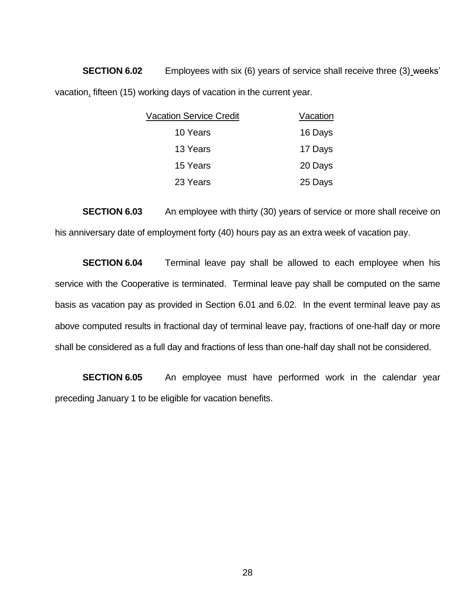**SECTION 6.02** Employees with six (6) years of service shall receive three (3) weeks' vacation, fifteen (15) working days of vacation in the current year.

| <b>Vacation Service Credit</b> |         |
|--------------------------------|---------|
| 10 Years                       | 16 Days |
| 13 Years                       | 17 Days |
| 15 Years                       | 20 Days |
| 23 Years                       | 25 Days |

**SECTION 6.03** An employee with thirty (30) years of service or more shall receive on his anniversary date of employment forty (40) hours pay as an extra week of vacation pay.

**SECTION 6.04** Terminal leave pay shall be allowed to each employee when his service with the Cooperative is terminated. Terminal leave pay shall be computed on the same basis as vacation pay as provided in Section 6.01 and 6.02. In the event terminal leave pay as above computed results in fractional day of terminal leave pay, fractions of one-half day or more shall be considered as a full day and fractions of less than one-half day shall not be considered.

**SECTION 6.05** An employee must have performed work in the calendar year preceding January 1 to be eligible for vacation benefits.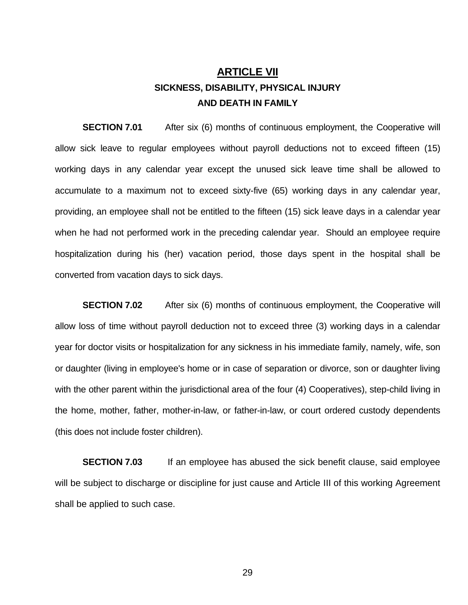# **ARTICLE VII SICKNESS, DISABILITY, PHYSICAL INJURY AND DEATH IN FAMILY**

**SECTION 7.01** After six (6) months of continuous employment, the Cooperative will allow sick leave to regular employees without payroll deductions not to exceed fifteen (15) working days in any calendar year except the unused sick leave time shall be allowed to accumulate to a maximum not to exceed sixty-five (65) working days in any calendar year, providing, an employee shall not be entitled to the fifteen (15) sick leave days in a calendar year when he had not performed work in the preceding calendar year. Should an employee require hospitalization during his (her) vacation period, those days spent in the hospital shall be converted from vacation days to sick days.

**SECTION 7.02** After six (6) months of continuous employment, the Cooperative will allow loss of time without payroll deduction not to exceed three (3) working days in a calendar year for doctor visits or hospitalization for any sickness in his immediate family, namely, wife, son or daughter (living in employee's home or in case of separation or divorce, son or daughter living with the other parent within the jurisdictional area of the four (4) Cooperatives), step-child living in the home, mother, father, mother-in-law, or father-in-law, or court ordered custody dependents (this does not include foster children).

**SECTION 7.03** If an employee has abused the sick benefit clause, said employee will be subject to discharge or discipline for just cause and Article III of this working Agreement shall be applied to such case.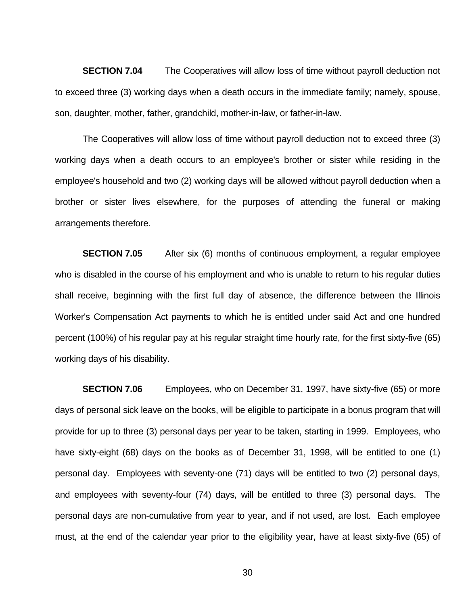**SECTION 7.04** The Cooperatives will allow loss of time without payroll deduction not to exceed three (3) working days when a death occurs in the immediate family; namely, spouse, son, daughter, mother, father, grandchild, mother-in-law, or father-in-law.

The Cooperatives will allow loss of time without payroll deduction not to exceed three (3) working days when a death occurs to an employee's brother or sister while residing in the employee's household and two (2) working days will be allowed without payroll deduction when a brother or sister lives elsewhere, for the purposes of attending the funeral or making arrangements therefore.

**SECTION 7.05** After six (6) months of continuous employment, a regular employee who is disabled in the course of his employment and who is unable to return to his regular duties shall receive, beginning with the first full day of absence, the difference between the Illinois Worker's Compensation Act payments to which he is entitled under said Act and one hundred percent (100%) of his regular pay at his regular straight time hourly rate, for the first sixty-five (65) working days of his disability.

**SECTION 7.06** Employees, who on December 31, 1997, have sixty-five (65) or more days of personal sick leave on the books, will be eligible to participate in a bonus program that will provide for up to three (3) personal days per year to be taken, starting in 1999. Employees, who have sixty-eight (68) days on the books as of December 31, 1998, will be entitled to one (1) personal day. Employees with seventy-one (71) days will be entitled to two (2) personal days, and employees with seventy-four (74) days, will be entitled to three (3) personal days. The personal days are non-cumulative from year to year, and if not used, are lost. Each employee must, at the end of the calendar year prior to the eligibility year, have at least sixty-five (65) of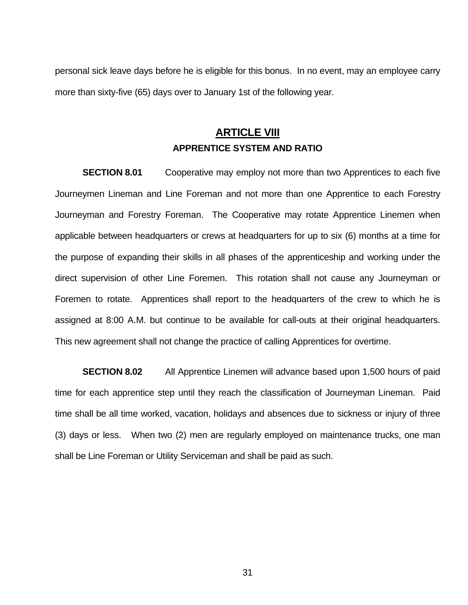personal sick leave days before he is eligible for this bonus. In no event, may an employee carry more than sixty-five (65) days over to January 1st of the following year.

### **ARTICLE VIII APPRENTICE SYSTEM AND RATIO**

**SECTION 8.01** Cooperative may employ not more than two Apprentices to each five Journeymen Lineman and Line Foreman and not more than one Apprentice to each Forestry Journeyman and Forestry Foreman. The Cooperative may rotate Apprentice Linemen when applicable between headquarters or crews at headquarters for up to six (6) months at a time for the purpose of expanding their skills in all phases of the apprenticeship and working under the direct supervision of other Line Foremen. This rotation shall not cause any Journeyman or Foremen to rotate. Apprentices shall report to the headquarters of the crew to which he is assigned at 8:00 A.M. but continue to be available for call-outs at their original headquarters. This new agreement shall not change the practice of calling Apprentices for overtime.

**SECTION 8.02** All Apprentice Linemen will advance based upon 1,500 hours of paid time for each apprentice step until they reach the classification of Journeyman Lineman. Paid time shall be all time worked, vacation, holidays and absences due to sickness or injury of three (3) days or less. When two (2) men are regularly employed on maintenance trucks, one man shall be Line Foreman or Utility Serviceman and shall be paid as such.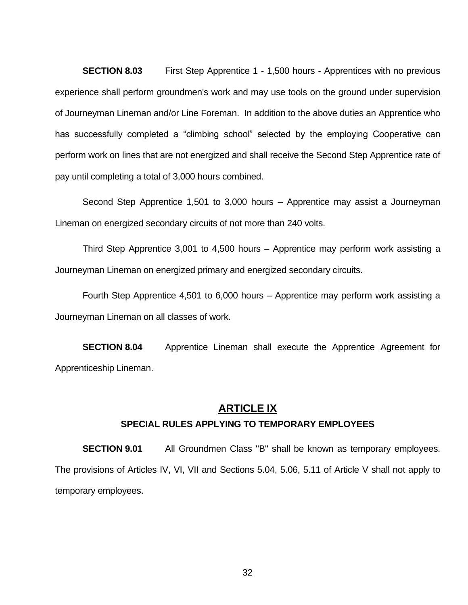**SECTION 8.03** First Step Apprentice 1 - 1,500 hours - Apprentices with no previous experience shall perform groundmen's work and may use tools on the ground under supervision of Journeyman Lineman and/or Line Foreman. In addition to the above duties an Apprentice who has successfully completed a "climbing school" selected by the employing Cooperative can perform work on lines that are not energized and shall receive the Second Step Apprentice rate of pay until completing a total of 3,000 hours combined.

Second Step Apprentice 1,501 to 3,000 hours – Apprentice may assist a Journeyman Lineman on energized secondary circuits of not more than 240 volts.

Third Step Apprentice 3,001 to 4,500 hours – Apprentice may perform work assisting a Journeyman Lineman on energized primary and energized secondary circuits.

Fourth Step Apprentice 4,501 to 6,000 hours – Apprentice may perform work assisting a Journeyman Lineman on all classes of work.

**SECTION 8.04** Apprentice Lineman shall execute the Apprentice Agreement for Apprenticeship Lineman.

#### **ARTICLE IX**

#### **SPECIAL RULES APPLYING TO TEMPORARY EMPLOYEES**

**SECTION 9.01** All Groundmen Class "B" shall be known as temporary employees. The provisions of Articles IV, VI, VII and Sections 5.04, 5.06, 5.11 of Article V shall not apply to temporary employees.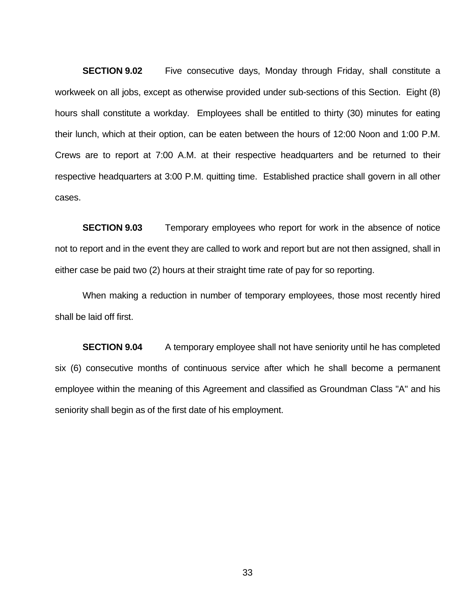**SECTION 9.02** Five consecutive days, Monday through Friday, shall constitute a workweek on all jobs, except as otherwise provided under sub-sections of this Section. Eight (8) hours shall constitute a workday. Employees shall be entitled to thirty (30) minutes for eating their lunch, which at their option, can be eaten between the hours of 12:00 Noon and 1:00 P.M. Crews are to report at 7:00 A.M. at their respective headquarters and be returned to their respective headquarters at 3:00 P.M. quitting time. Established practice shall govern in all other cases.

**SECTION 9.03** Temporary employees who report for work in the absence of notice not to report and in the event they are called to work and report but are not then assigned, shall in either case be paid two (2) hours at their straight time rate of pay for so reporting.

When making a reduction in number of temporary employees, those most recently hired shall be laid off first.

**SECTION 9.04** A temporary employee shall not have seniority until he has completed six (6) consecutive months of continuous service after which he shall become a permanent employee within the meaning of this Agreement and classified as Groundman Class "A" and his seniority shall begin as of the first date of his employment.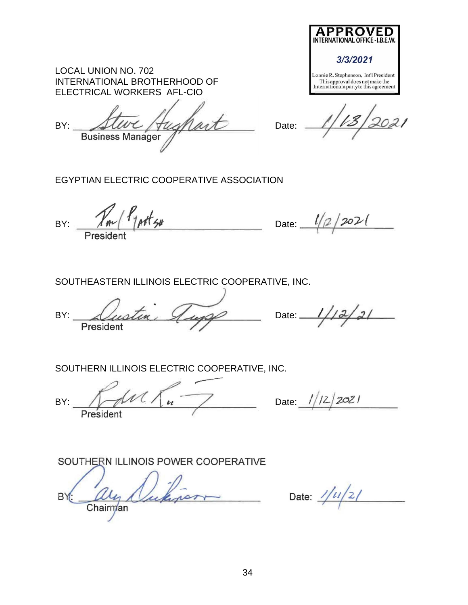| LOCAL UNION NO. 702          |
|------------------------------|
| INTERNATIONAL BROTHERHOOD OF |
| ELECTRICAL WORKERS AFL-CIO   |

BY: Steve Hughart Date: **Business Manager** 

Lonnie R. Stephenson, Int'l President This approval does not make the<br>International a party to this agreement

APPROVED

3/3/2021

EGYPTIAN ELECTRIC COOPERATIVE ASSOCIATION

BY:  $\frac{\gamma_{m}}{\gamma_{p}+\gamma_{p}}$  Date:  $\frac{l}{2}$  2021

SOUTHEASTERN ILLINOIS ELECTRIC COOPERATIVE, INC.

 $BY: \triangle\$ President

 $12/21$ 

SOUTHERN ILLINOIS ELECTRIC COOPERATIVE, INC.

BY:  $\bigwedge \mathcal{M}$  /  $\mathcal{M}$  /  $\mathcal{M}$  /  $\mathcal{M}$  /  $\mathcal{M}$  /  $\mathcal{M}$  /  $\mathcal{M}$  /  $\mathcal{M}$  /  $\mathcal{M}$  /  $\mathcal{M}$  /  $\mathcal{M}$  /  $\mathcal{M}$  /  $\mathcal{M}$  /  $\mathcal{M}$  /  $\mathcal{M}$  /  $\mathcal{M}$  /  $\mathcal{M}$  /  $\mathcal{M}$  /  $\mathcal{M}$  /  $\mathcal$ President

SOUTHERN ILLINOIS POWER COOPERATIVE

**BY** chinas Chairman

Date:  $1/u/z/$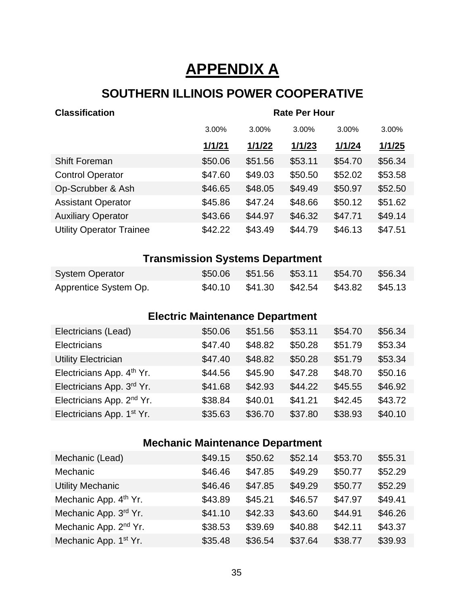# **APPENDIX A**

# **SOUTHERN ILLINOIS POWER COOPERATIVE**

| <b>Classification</b>           | <b>Rate Per Hour</b> |         |         |         |         |
|---------------------------------|----------------------|---------|---------|---------|---------|
|                                 | 3.00%                | 3.00%   | 3.00%   | 3.00%   | 3.00%   |
|                                 | 1/1/21               | 1/1/22  | 1/1/23  | 1/1/24  | 1/1/25  |
| <b>Shift Foreman</b>            | \$50.06              | \$51.56 | \$53.11 | \$54.70 | \$56.34 |
| <b>Control Operator</b>         | \$47.60              | \$49.03 | \$50.50 | \$52.02 | \$53.58 |
| Op-Scrubber & Ash               | \$46.65              | \$48.05 | \$49.49 | \$50.97 | \$52.50 |
| <b>Assistant Operator</b>       | \$45.86              | \$47.24 | \$48.66 | \$50.12 | \$51.62 |
| <b>Auxiliary Operator</b>       | \$43.66              | \$44.97 | \$46.32 | \$47.71 | \$49.14 |
| <b>Utility Operator Trainee</b> | \$42.22              | \$43.49 | \$44.79 | \$46.13 | \$47.51 |

# **Transmission Systems Department**

| <b>System Operator</b> |  | \$50.06 \$51.56 \$53.11 \$54.70 \$56.34 |  |
|------------------------|--|-----------------------------------------|--|
| Apprentice System Op.  |  | \$40.10 \$41.30 \$42.54 \$43.82 \$45.13 |  |

# **Electric Maintenance Department**

| \$50.06 | \$51.56 | \$53.11 | \$54.70 | \$56.34 |
|---------|---------|---------|---------|---------|
| \$47.40 | \$48.82 | \$50.28 | \$51.79 | \$53.34 |
| \$47.40 | \$48.82 | \$50.28 | \$51.79 | \$53.34 |
| \$44.56 | \$45.90 | \$47.28 | \$48.70 | \$50.16 |
| \$41.68 | \$42.93 | \$44.22 | \$45.55 | \$46.92 |
| \$38.84 | \$40.01 | \$41.21 | \$42.45 | \$43.72 |
| \$35.63 | \$36.70 | \$37.80 | \$38.93 | \$40.10 |
|         |         |         |         |         |

# **Mechanic Maintenance Department**

| Mechanic (Lead)                   | \$49.15 | \$50.62 | \$52.14 | \$53.70 | \$55.31 |
|-----------------------------------|---------|---------|---------|---------|---------|
| Mechanic                          | \$46.46 | \$47.85 | \$49.29 | \$50.77 | \$52.29 |
| <b>Utility Mechanic</b>           | \$46.46 | \$47.85 | \$49.29 | \$50.77 | \$52.29 |
| Mechanic App. 4 <sup>th</sup> Yr. | \$43.89 | \$45.21 | \$46.57 | \$47.97 | \$49.41 |
| Mechanic App. 3rd Yr.             | \$41.10 | \$42.33 | \$43.60 | \$44.91 | \$46.26 |
| Mechanic App. 2 <sup>nd</sup> Yr. | \$38.53 | \$39.69 | \$40.88 | \$42.11 | \$43.37 |
| Mechanic App. 1 <sup>st</sup> Yr. | \$35.48 | \$36.54 | \$37.64 | \$38.77 | \$39.93 |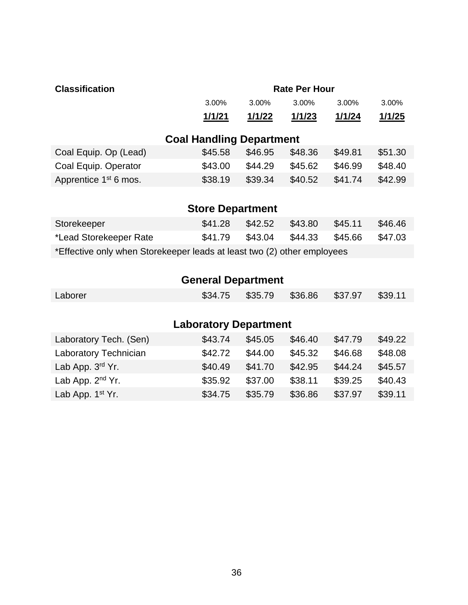| <b>Classification</b>                                                   |                                 |               | <b>Rate Per Hour</b> |         |         |  |
|-------------------------------------------------------------------------|---------------------------------|---------------|----------------------|---------|---------|--|
|                                                                         | 3.00%                           | 3.00%         | 3.00%                | 3.00%   | 3.00%   |  |
|                                                                         | <u>1/1/21</u>                   | <u>1/1/22</u> | 1/1/23               | 1/1/24  | 1/1/25  |  |
|                                                                         |                                 |               |                      |         |         |  |
|                                                                         | <b>Coal Handling Department</b> |               |                      |         |         |  |
| Coal Equip. Op (Lead)                                                   | \$45.58                         | \$46.95       | \$48.36              | \$49.81 | \$51.30 |  |
| Coal Equip. Operator                                                    | \$43.00                         | \$44.29       | \$45.62              | \$46.99 | \$48.40 |  |
| Apprentice 1 <sup>st</sup> 6 mos.                                       | \$38.19                         | \$39.34       | \$40.52              | \$41.74 | \$42.99 |  |
|                                                                         |                                 |               |                      |         |         |  |
|                                                                         | <b>Store Department</b>         |               |                      |         |         |  |
| Storekeeper                                                             | \$41.28                         | \$42.52       | \$43.80              | \$45.11 | \$46.46 |  |
| *Lead Storekeeper Rate                                                  | \$41.79                         | \$43.04       | \$44.33              | \$45.66 | \$47.03 |  |
| *Effective only when Storekeeper leads at least two (2) other employees |                                 |               |                      |         |         |  |
|                                                                         |                                 |               |                      |         |         |  |
|                                                                         | <b>General Department</b>       |               |                      |         |         |  |
| Laborer                                                                 | \$34.75                         | \$35.79       | \$36.86              | \$37.97 | \$39.11 |  |
|                                                                         |                                 |               |                      |         |         |  |
| <b>Laboratory Department</b>                                            |                                 |               |                      |         |         |  |

| Laboratory Tech. (Sen)       | \$43.74 | \$45.05 | \$46.40 | \$47.79 | \$49.22 |
|------------------------------|---------|---------|---------|---------|---------|
| <b>Laboratory Technician</b> | \$42.72 | \$44.00 | \$45.32 | \$46.68 | \$48.08 |
| Lab App. $3rd$ Yr.           | \$40.49 | \$41.70 | \$42.95 | \$44.24 | \$45.57 |
| Lab App. $2nd$ Yr.           | \$35.92 | \$37.00 | \$38.11 | \$39.25 | \$40.43 |
| Lab App. 1 <sup>st</sup> Yr. | \$34.75 | \$35.79 | \$36.86 | \$37.97 | \$39.11 |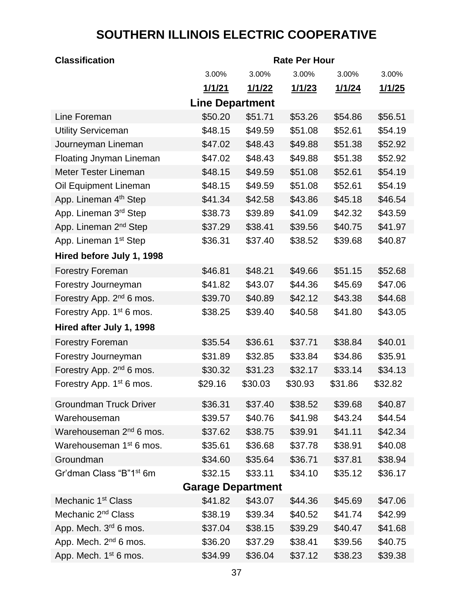# **SOUTHERN ILLINOIS ELECTRIC COOPERATIVE**

| <b>Classification</b>                | <b>Rate Per Hour</b>     |         |         |         |         |  |
|--------------------------------------|--------------------------|---------|---------|---------|---------|--|
|                                      | 3.00%                    | 3.00%   | 3.00%   | 3.00%   | 3.00%   |  |
|                                      | 1/1/21                   | 1/1/22  | 1/1/23  | 1/1/24  | 1/1/25  |  |
|                                      | <b>Line Department</b>   |         |         |         |         |  |
| Line Foreman                         | \$50.20                  | \$51.71 | \$53.26 | \$54.86 | \$56.51 |  |
| <b>Utility Serviceman</b>            | \$48.15                  | \$49.59 | \$51.08 | \$52.61 | \$54.19 |  |
| Journeyman Lineman                   | \$47.02                  | \$48.43 | \$49.88 | \$51.38 | \$52.92 |  |
| <b>Floating Jnyman Lineman</b>       | \$47.02                  | \$48.43 | \$49.88 | \$51.38 | \$52.92 |  |
| <b>Meter Tester Lineman</b>          | \$48.15                  | \$49.59 | \$51.08 | \$52.61 | \$54.19 |  |
| Oil Equipment Lineman                | \$48.15                  | \$49.59 | \$51.08 | \$52.61 | \$54.19 |  |
| App. Lineman 4 <sup>th</sup> Step    | \$41.34                  | \$42.58 | \$43.86 | \$45.18 | \$46.54 |  |
| App. Lineman 3 <sup>rd</sup> Step    | \$38.73                  | \$39.89 | \$41.09 | \$42.32 | \$43.59 |  |
| App. Lineman 2 <sup>nd</sup> Step    | \$37.29                  | \$38.41 | \$39.56 | \$40.75 | \$41.97 |  |
| App. Lineman 1 <sup>st</sup> Step    | \$36.31                  | \$37.40 | \$38.52 | \$39.68 | \$40.87 |  |
| Hired before July 1, 1998            |                          |         |         |         |         |  |
| <b>Forestry Foreman</b>              | \$46.81                  | \$48.21 | \$49.66 | \$51.15 | \$52.68 |  |
| Forestry Journeyman                  | \$41.82                  | \$43.07 | \$44.36 | \$45.69 | \$47.06 |  |
| Forestry App. 2 <sup>nd</sup> 6 mos. | \$39.70                  | \$40.89 | \$42.12 | \$43.38 | \$44.68 |  |
| Forestry App. 1 <sup>st</sup> 6 mos. | \$38.25                  | \$39.40 | \$40.58 | \$41.80 | \$43.05 |  |
| Hired after July 1, 1998             |                          |         |         |         |         |  |
| <b>Forestry Foreman</b>              | \$35.54                  | \$36.61 | \$37.71 | \$38.84 | \$40.01 |  |
| Forestry Journeyman                  | \$31.89                  | \$32.85 | \$33.84 | \$34.86 | \$35.91 |  |
| Forestry App. 2 <sup>nd</sup> 6 mos. | \$30.32                  | \$31.23 | \$32.17 | \$33.14 | \$34.13 |  |
| Forestry App. 1 <sup>st</sup> 6 mos. | \$29.16                  | \$30.03 | \$30.93 | \$31.86 | \$32.82 |  |
| <b>Groundman Truck Driver</b>        | \$36.31                  | \$37.40 | \$38.52 | \$39.68 | \$40.87 |  |
| Warehouseman                         | \$39.57                  | \$40.76 | \$41.98 | \$43.24 | \$44.54 |  |
| Warehouseman 2 <sup>nd</sup> 6 mos.  | \$37.62                  | \$38.75 | \$39.91 | \$41.11 | \$42.34 |  |
| Warehouseman 1 <sup>st</sup> 6 mos.  | \$35.61                  | \$36.68 | \$37.78 | \$38.91 | \$40.08 |  |
| Groundman                            | \$34.60                  | \$35.64 | \$36.71 | \$37.81 | \$38.94 |  |
| Gr'dman Class "B"1 <sup>st</sup> 6m  | \$32.15                  | \$33.11 | \$34.10 | \$35.12 | \$36.17 |  |
|                                      | <b>Garage Department</b> |         |         |         |         |  |
| Mechanic 1 <sup>st</sup> Class       | \$41.82                  | \$43.07 | \$44.36 | \$45.69 | \$47.06 |  |
| Mechanic 2 <sup>nd</sup> Class       | \$38.19                  | \$39.34 | \$40.52 | \$41.74 | \$42.99 |  |
| App. Mech. 3 <sup>rd</sup> 6 mos.    | \$37.04                  | \$38.15 | \$39.29 | \$40.47 | \$41.68 |  |
| App. Mech. 2 <sup>nd</sup> 6 mos.    | \$36.20                  | \$37.29 | \$38.41 | \$39.56 | \$40.75 |  |
| App. Mech. 1 <sup>st</sup> 6 mos.    | \$34.99                  | \$36.04 | \$37.12 | \$38.23 | \$39.38 |  |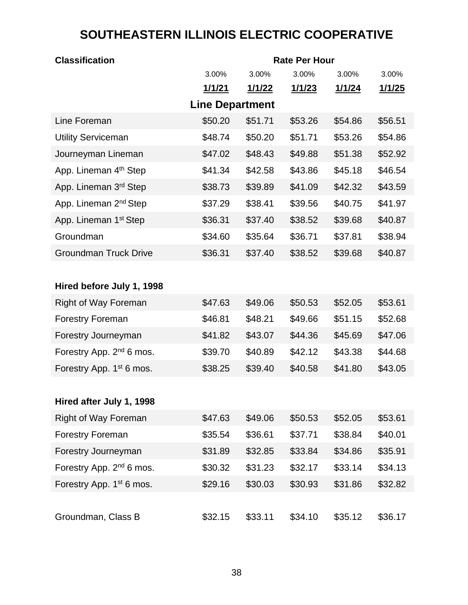# **SOUTHEASTERN ILLINOIS ELECTRIC COOPERATIVE**

| <b>Classification</b>                | <b>Rate Per Hour</b>   |                |                |                |                |  |  |
|--------------------------------------|------------------------|----------------|----------------|----------------|----------------|--|--|
|                                      | 3.00%                  | 3.00%          | 3.00%          | 3.00%          | 3.00%          |  |  |
|                                      | <u> 1/1/21</u>         | <u> 1/1/22</u> | <u> 1/1/23</u> | <u> 1/1/24</u> | <u> 1/1/25</u> |  |  |
|                                      | <b>Line Department</b> |                |                |                |                |  |  |
| Line Foreman                         | \$50.20                | \$51.71        | \$53.26        | \$54.86        | \$56.51        |  |  |
| <b>Utility Serviceman</b>            | \$48.74                | \$50.20        | \$51.71        | \$53.26        | \$54.86        |  |  |
| Journeyman Lineman                   | \$47.02                | \$48.43        | \$49.88        | \$51.38        | \$52.92        |  |  |
| App. Lineman 4 <sup>th</sup> Step    | \$41.34                | \$42.58        | \$43.86        | \$45.18        | \$46.54        |  |  |
| App. Lineman 3 <sup>rd</sup> Step    | \$38.73                | \$39.89        | \$41.09        | \$42.32        | \$43.59        |  |  |
| App. Lineman 2 <sup>nd</sup> Step    | \$37.29                | \$38.41        | \$39.56        | \$40.75        | \$41.97        |  |  |
| App. Lineman 1 <sup>st</sup> Step    | \$36.31                | \$37.40        | \$38.52        | \$39.68        | \$40.87        |  |  |
| Groundman                            | \$34.60                | \$35.64        | \$36.71        | \$37.81        | \$38.94        |  |  |
| <b>Groundman Truck Drive</b>         | \$36.31                | \$37.40        | \$38.52        | \$39.68        | \$40.87        |  |  |
|                                      |                        |                |                |                |                |  |  |
| Hired before July 1, 1998            |                        |                |                |                |                |  |  |
| Right of Way Foreman                 | \$47.63                | \$49.06        | \$50.53        | \$52.05        | \$53.61        |  |  |
| <b>Forestry Foreman</b>              | \$46.81                | \$48.21        | \$49.66        | \$51.15        | \$52.68        |  |  |
| Forestry Journeyman                  | \$41.82                | \$43.07        | \$44.36        | \$45.69        | \$47.06        |  |  |
| Forestry App. 2 <sup>nd</sup> 6 mos. | \$39.70                | \$40.89        | \$42.12        | \$43.38        | \$44.68        |  |  |
| Forestry App. 1 <sup>st</sup> 6 mos. | \$38.25                | \$39.40        | \$40.58        | \$41.80        | \$43.05        |  |  |
|                                      |                        |                |                |                |                |  |  |
| Hired after July 1, 1998             |                        |                |                |                |                |  |  |
| <b>Right of Way Foreman</b>          | \$47.63                | \$49.06        | \$50.53        | \$52.05        | \$53.61        |  |  |
| <b>Forestry Foreman</b>              | \$35.54                | \$36.61        | \$37.71        | \$38.84        | \$40.01        |  |  |
| Forestry Journeyman                  | \$31.89                | \$32.85        | \$33.84        | \$34.86        | \$35.91        |  |  |
| Forestry App. 2 <sup>nd</sup> 6 mos. | \$30.32                | \$31.23        | \$32.17        | \$33.14        | \$34.13        |  |  |
| Forestry App. 1 <sup>st</sup> 6 mos. | \$29.16                | \$30.03        | \$30.93        | \$31.86        | \$32.82        |  |  |
|                                      |                        |                |                |                |                |  |  |
| Groundman, Class B                   | \$32.15                | \$33.11        | \$34.10        | \$35.12        | \$36.17        |  |  |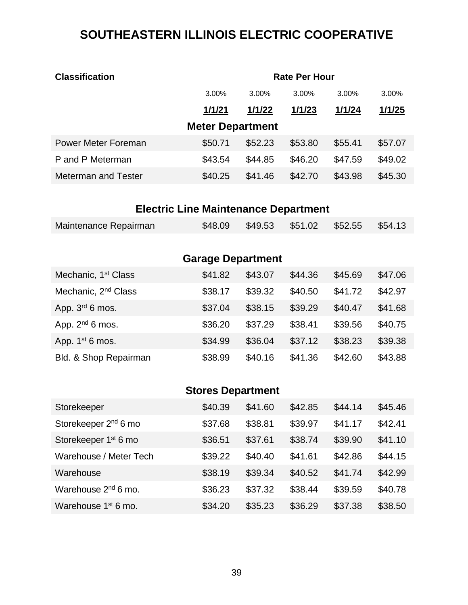# **SOUTHEASTERN ILLINOIS ELECTRIC COOPERATIVE**

| <b>Classification</b>      | <b>Rate Per Hour</b> |         |         |          |          |  |  |
|----------------------------|----------------------|---------|---------|----------|----------|--|--|
|                            | 3.00%                | 3.00%   | 3.00%   | $3.00\%$ | $3.00\%$ |  |  |
|                            | 1/1/21               | 1/1/22  | 1/1/23  | 1/1/24   | 1/1/25   |  |  |
| <b>Meter Department</b>    |                      |         |         |          |          |  |  |
| Power Meter Foreman        | \$50.71              | \$52.23 | \$53.80 | \$55.41  | \$57.07  |  |  |
| P and P Meterman           | \$43.54              | \$44.85 | \$46.20 | \$47.59  | \$49.02  |  |  |
| <b>Meterman and Tester</b> | \$40.25              | \$41.46 | \$42.70 | \$43.98  | \$45.30  |  |  |
|                            |                      |         |         |          |          |  |  |

# **Electric Line Maintenance Department**

| \$48.09 \$49.53 \$51.02 \$52.55 \$54.13<br>Maintenance Repairman |
|------------------------------------------------------------------|
|------------------------------------------------------------------|

| <b>Garage Department</b>        |         |         |         |         |         |  |  |  |
|---------------------------------|---------|---------|---------|---------|---------|--|--|--|
| Mechanic, 1 <sup>st</sup> Class | \$41.82 | \$43.07 | \$44.36 | \$45.69 | \$47.06 |  |  |  |
| Mechanic, 2 <sup>nd</sup> Class | \$38.17 | \$39.32 | \$40.50 | \$41.72 | \$42.97 |  |  |  |
| App. $3rd$ 6 mos.               | \$37.04 | \$38.15 | \$39.29 | \$40.47 | \$41.68 |  |  |  |
| App. $2nd 6$ mos.               | \$36.20 | \$37.29 | \$38.41 | \$39.56 | \$40.75 |  |  |  |
| App. $1st 6$ mos.               | \$34.99 | \$36.04 | \$37.12 | \$38.23 | \$39.38 |  |  |  |
| Bld. & Shop Repairman           | \$38.99 | \$40.16 | \$41.36 | \$42.60 | \$43.88 |  |  |  |

# **Stores Department**

| Storekeeper                      | \$40.39 | \$41.60 | \$42.85 | \$44.14 | \$45.46 |
|----------------------------------|---------|---------|---------|---------|---------|
| Storekeeper 2 <sup>nd</sup> 6 mo | \$37.68 | \$38.81 | \$39.97 | \$41.17 | \$42.41 |
| Storekeeper 1 <sup>st</sup> 6 mo | \$36.51 | \$37.61 | \$38.74 | \$39.90 | \$41.10 |
| Warehouse / Meter Tech           | \$39.22 | \$40.40 | \$41.61 | \$42.86 | \$44.15 |
| Warehouse                        | \$38.19 | \$39.34 | \$40.52 | \$41.74 | \$42.99 |
| Warehouse 2 <sup>nd</sup> 6 mo.  | \$36.23 | \$37.32 | \$38.44 | \$39.59 | \$40.78 |
| Warehouse 1 <sup>st</sup> 6 mo.  | \$34.20 | \$35.23 | \$36.29 | \$37.38 | \$38.50 |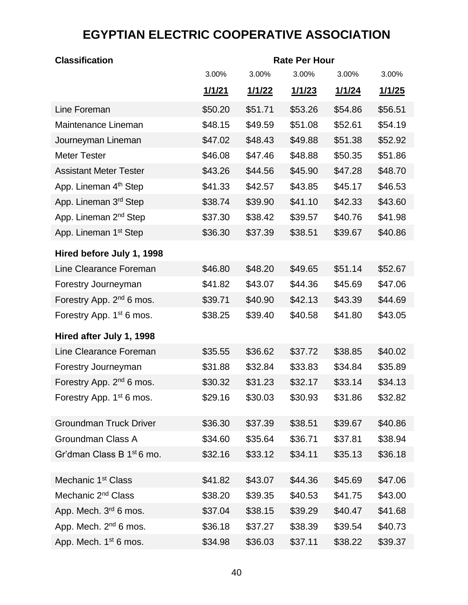# **EGYPTIAN ELECTRIC COOPERATIVE ASSOCIATION**

| <b>Classification</b>                 | <b>Rate Per Hour</b> |               |               |               |               |  |
|---------------------------------------|----------------------|---------------|---------------|---------------|---------------|--|
|                                       | 3.00%                | 3.00%         | 3.00%         | 3.00%         | 3.00%         |  |
|                                       | 1/1/21               | <u>1/1/22</u> | <u>1/1/23</u> | <u>1/1/24</u> | <u>1/1/25</u> |  |
| Line Foreman                          | \$50.20              | \$51.71       | \$53.26       | \$54.86       | \$56.51       |  |
| Maintenance Lineman                   | \$48.15              | \$49.59       | \$51.08       | \$52.61       | \$54.19       |  |
| Journeyman Lineman                    | \$47.02              | \$48.43       | \$49.88       | \$51.38       | \$52.92       |  |
| <b>Meter Tester</b>                   | \$46.08              | \$47.46       | \$48.88       | \$50.35       | \$51.86       |  |
| <b>Assistant Meter Tester</b>         | \$43.26              | \$44.56       | \$45.90       | \$47.28       | \$48.70       |  |
| App. Lineman 4 <sup>th</sup> Step     | \$41.33              | \$42.57       | \$43.85       | \$45.17       | \$46.53       |  |
| App. Lineman 3rd Step                 | \$38.74              | \$39.90       | \$41.10       | \$42.33       | \$43.60       |  |
| App. Lineman 2 <sup>nd</sup> Step     | \$37.30              | \$38.42       | \$39.57       | \$40.76       | \$41.98       |  |
| App. Lineman 1 <sup>st</sup> Step     | \$36.30              | \$37.39       | \$38.51       | \$39.67       | \$40.86       |  |
| Hired before July 1, 1998             |                      |               |               |               |               |  |
| Line Clearance Foreman                | \$46.80              | \$48.20       | \$49.65       | \$51.14       | \$52.67       |  |
| Forestry Journeyman                   | \$41.82              | \$43.07       | \$44.36       | \$45.69       | \$47.06       |  |
| Forestry App. 2 <sup>nd</sup> 6 mos.  | \$39.71              | \$40.90       | \$42.13       | \$43.39       | \$44.69       |  |
| Forestry App. 1 <sup>st</sup> 6 mos.  | \$38.25              | \$39.40       | \$40.58       | \$41.80       | \$43.05       |  |
| Hired after July 1, 1998              |                      |               |               |               |               |  |
| Line Clearance Foreman                | \$35.55              | \$36.62       | \$37.72       | \$38.85       | \$40.02       |  |
| Forestry Journeyman                   | \$31.88              | \$32.84       | \$33.83       | \$34.84       | \$35.89       |  |
| Forestry App. 2 <sup>nd</sup> 6 mos.  | \$30.32              | \$31.23       | \$32.17       | \$33.14       | \$34.13       |  |
| Forestry App. 1 <sup>st</sup> 6 mos.  | \$29.16              | \$30.03       | \$30.93       | \$31.86       | \$32.82       |  |
| <b>Groundman Truck Driver</b>         | \$36.30              | \$37.39       | \$38.51       | \$39.67       | \$40.86       |  |
| Groundman Class A                     | \$34.60              | \$35.64       | \$36.71       | \$37.81       | \$38.94       |  |
| Gr'dman Class B 1 <sup>st</sup> 6 mo. | \$32.16              | \$33.12       | \$34.11       | \$35.13       | \$36.18       |  |
|                                       |                      |               |               |               |               |  |
| Mechanic 1 <sup>st</sup> Class        | \$41.82              | \$43.07       | \$44.36       | \$45.69       | \$47.06       |  |
| Mechanic 2 <sup>nd</sup> Class        | \$38.20              | \$39.35       | \$40.53       | \$41.75       | \$43.00       |  |
| App. Mech. 3 <sup>rd</sup> 6 mos.     | \$37.04              | \$38.15       | \$39.29       | \$40.47       | \$41.68       |  |
| App. Mech. 2 <sup>nd</sup> 6 mos.     | \$36.18              | \$37.27       | \$38.39       | \$39.54       | \$40.73       |  |
| App. Mech. 1 <sup>st</sup> 6 mos.     | \$34.98              | \$36.03       | \$37.11       | \$38.22       | \$39.37       |  |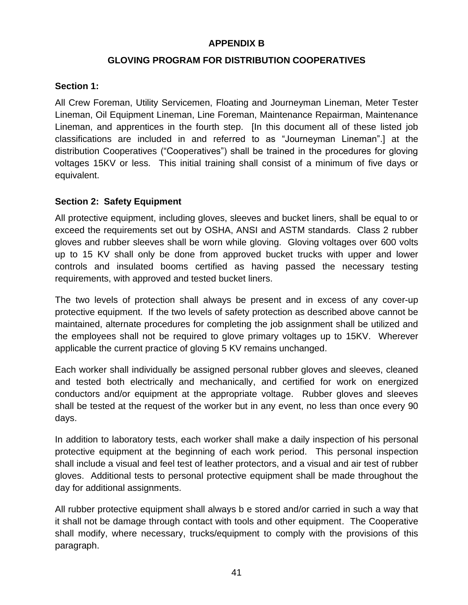#### **APPENDIX B**

### **GLOVING PROGRAM FOR DISTRIBUTION COOPERATIVES**

#### **Section 1:**

All Crew Foreman, Utility Servicemen, Floating and Journeyman Lineman, Meter Tester Lineman, Oil Equipment Lineman, Line Foreman, Maintenance Repairman, Maintenance Lineman, and apprentices in the fourth step. [In this document all of these listed job classifications are included in and referred to as "Journeyman Lineman".] at the distribution Cooperatives ("Cooperatives") shall be trained in the procedures for gloving voltages 15KV or less. This initial training shall consist of a minimum of five days or equivalent.

#### **Section 2: Safety Equipment**

All protective equipment, including gloves, sleeves and bucket liners, shall be equal to or exceed the requirements set out by OSHA, ANSI and ASTM standards. Class 2 rubber gloves and rubber sleeves shall be worn while gloving. Gloving voltages over 600 volts up to 15 KV shall only be done from approved bucket trucks with upper and lower controls and insulated booms certified as having passed the necessary testing requirements, with approved and tested bucket liners.

The two levels of protection shall always be present and in excess of any cover-up protective equipment. If the two levels of safety protection as described above cannot be maintained, alternate procedures for completing the job assignment shall be utilized and the employees shall not be required to glove primary voltages up to 15KV. Wherever applicable the current practice of gloving 5 KV remains unchanged.

Each worker shall individually be assigned personal rubber gloves and sleeves, cleaned and tested both electrically and mechanically, and certified for work on energized conductors and/or equipment at the appropriate voltage. Rubber gloves and sleeves shall be tested at the request of the worker but in any event, no less than once every 90 days.

In addition to laboratory tests, each worker shall make a daily inspection of his personal protective equipment at the beginning of each work period. This personal inspection shall include a visual and feel test of leather protectors, and a visual and air test of rubber gloves. Additional tests to personal protective equipment shall be made throughout the day for additional assignments.

All rubber protective equipment shall always b e stored and/or carried in such a way that it shall not be damage through contact with tools and other equipment. The Cooperative shall modify, where necessary, trucks/equipment to comply with the provisions of this paragraph.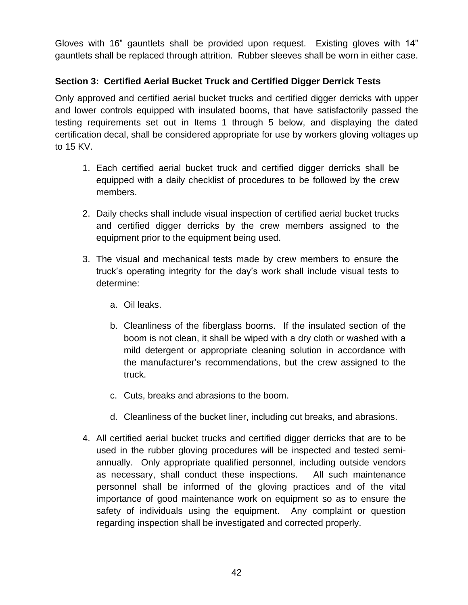Gloves with 16" gauntlets shall be provided upon request. Existing gloves with 14" gauntlets shall be replaced through attrition. Rubber sleeves shall be worn in either case.

### **Section 3: Certified Aerial Bucket Truck and Certified Digger Derrick Tests**

Only approved and certified aerial bucket trucks and certified digger derricks with upper and lower controls equipped with insulated booms, that have satisfactorily passed the testing requirements set out in Items 1 through 5 below, and displaying the dated certification decal, shall be considered appropriate for use by workers gloving voltages up to 15 KV.

- 1. Each certified aerial bucket truck and certified digger derricks shall be equipped with a daily checklist of procedures to be followed by the crew members.
- 2. Daily checks shall include visual inspection of certified aerial bucket trucks and certified digger derricks by the crew members assigned to the equipment prior to the equipment being used.
- 3. The visual and mechanical tests made by crew members to ensure the truck's operating integrity for the day's work shall include visual tests to determine:
	- a. Oil leaks.
	- b. Cleanliness of the fiberglass booms. If the insulated section of the boom is not clean, it shall be wiped with a dry cloth or washed with a mild detergent or appropriate cleaning solution in accordance with the manufacturer's recommendations, but the crew assigned to the truck.
	- c. Cuts, breaks and abrasions to the boom.
	- d. Cleanliness of the bucket liner, including cut breaks, and abrasions.
- 4. All certified aerial bucket trucks and certified digger derricks that are to be used in the rubber gloving procedures will be inspected and tested semiannually. Only appropriate qualified personnel, including outside vendors as necessary, shall conduct these inspections. All such maintenance personnel shall be informed of the gloving practices and of the vital importance of good maintenance work on equipment so as to ensure the safety of individuals using the equipment. Any complaint or question regarding inspection shall be investigated and corrected properly.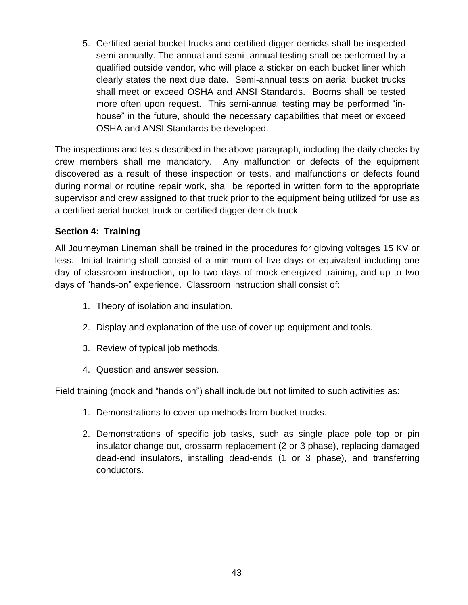5. Certified aerial bucket trucks and certified digger derricks shall be inspected semi-annually. The annual and semi- annual testing shall be performed by a qualified outside vendor, who will place a sticker on each bucket liner which clearly states the next due date. Semi-annual tests on aerial bucket trucks shall meet or exceed OSHA and ANSI Standards. Booms shall be tested more often upon request. This semi-annual testing may be performed "inhouse" in the future, should the necessary capabilities that meet or exceed OSHA and ANSI Standards be developed.

The inspections and tests described in the above paragraph, including the daily checks by crew members shall me mandatory. Any malfunction or defects of the equipment discovered as a result of these inspection or tests, and malfunctions or defects found during normal or routine repair work, shall be reported in written form to the appropriate supervisor and crew assigned to that truck prior to the equipment being utilized for use as a certified aerial bucket truck or certified digger derrick truck.

### **Section 4: Training**

All Journeyman Lineman shall be trained in the procedures for gloving voltages 15 KV or less. Initial training shall consist of a minimum of five days or equivalent including one day of classroom instruction, up to two days of mock-energized training, and up to two days of "hands-on" experience. Classroom instruction shall consist of:

- 1. Theory of isolation and insulation.
- 2. Display and explanation of the use of cover-up equipment and tools.
- 3. Review of typical job methods.
- 4. Question and answer session.

Field training (mock and "hands on") shall include but not limited to such activities as:

- 1. Demonstrations to cover-up methods from bucket trucks.
- 2. Demonstrations of specific job tasks, such as single place pole top or pin insulator change out, crossarm replacement (2 or 3 phase), replacing damaged dead-end insulators, installing dead-ends (1 or 3 phase), and transferring conductors.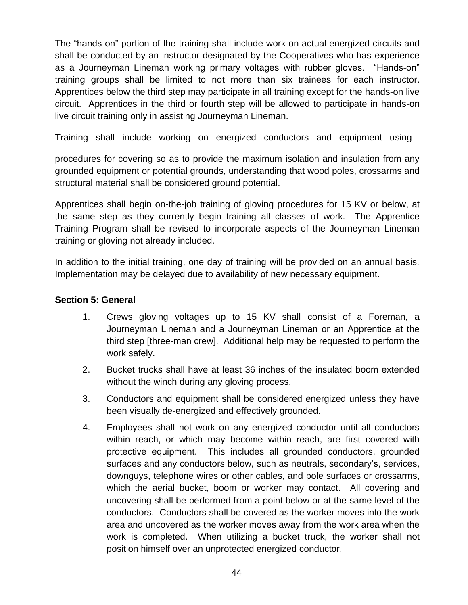The "hands-on" portion of the training shall include work on actual energized circuits and shall be conducted by an instructor designated by the Cooperatives who has experience as a Journeyman Lineman working primary voltages with rubber gloves. "Hands-on" training groups shall be limited to not more than six trainees for each instructor. Apprentices below the third step may participate in all training except for the hands-on live circuit. Apprentices in the third or fourth step will be allowed to participate in hands-on live circuit training only in assisting Journeyman Lineman.

Training shall include working on energized conductors and equipment using

procedures for covering so as to provide the maximum isolation and insulation from any grounded equipment or potential grounds, understanding that wood poles, crossarms and structural material shall be considered ground potential.

Apprentices shall begin on-the-job training of gloving procedures for 15 KV or below, at the same step as they currently begin training all classes of work. The Apprentice Training Program shall be revised to incorporate aspects of the Journeyman Lineman training or gloving not already included.

In addition to the initial training, one day of training will be provided on an annual basis. Implementation may be delayed due to availability of new necessary equipment.

#### **Section 5: General**

- 1. Crews gloving voltages up to 15 KV shall consist of a Foreman, a Journeyman Lineman and a Journeyman Lineman or an Apprentice at the third step [three-man crew]. Additional help may be requested to perform the work safely.
- 2. Bucket trucks shall have at least 36 inches of the insulated boom extended without the winch during any gloving process.
- 3. Conductors and equipment shall be considered energized unless they have been visually de-energized and effectively grounded.
- 4. Employees shall not work on any energized conductor until all conductors within reach, or which may become within reach, are first covered with protective equipment. This includes all grounded conductors, grounded surfaces and any conductors below, such as neutrals, secondary's, services, downguys, telephone wires or other cables, and pole surfaces or crossarms, which the aerial bucket, boom or worker may contact. All covering and uncovering shall be performed from a point below or at the same level of the conductors. Conductors shall be covered as the worker moves into the work area and uncovered as the worker moves away from the work area when the work is completed. When utilizing a bucket truck, the worker shall not position himself over an unprotected energized conductor.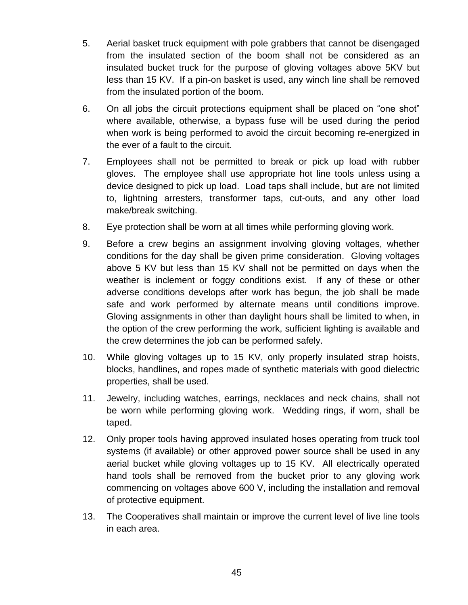- 5. Aerial basket truck equipment with pole grabbers that cannot be disengaged from the insulated section of the boom shall not be considered as an insulated bucket truck for the purpose of gloving voltages above 5KV but less than 15 KV. If a pin-on basket is used, any winch line shall be removed from the insulated portion of the boom.
- 6. On all jobs the circuit protections equipment shall be placed on "one shot" where available, otherwise, a bypass fuse will be used during the period when work is being performed to avoid the circuit becoming re-energized in the ever of a fault to the circuit.
- 7. Employees shall not be permitted to break or pick up load with rubber gloves. The employee shall use appropriate hot line tools unless using a device designed to pick up load. Load taps shall include, but are not limited to, lightning arresters, transformer taps, cut-outs, and any other load make/break switching.
- 8. Eye protection shall be worn at all times while performing gloving work.
- 9. Before a crew begins an assignment involving gloving voltages, whether conditions for the day shall be given prime consideration. Gloving voltages above 5 KV but less than 15 KV shall not be permitted on days when the weather is inclement or foggy conditions exist. If any of these or other adverse conditions develops after work has begun, the job shall be made safe and work performed by alternate means until conditions improve. Gloving assignments in other than daylight hours shall be limited to when, in the option of the crew performing the work, sufficient lighting is available and the crew determines the job can be performed safely.
- 10. While gloving voltages up to 15 KV, only properly insulated strap hoists, blocks, handlines, and ropes made of synthetic materials with good dielectric properties, shall be used.
- 11. Jewelry, including watches, earrings, necklaces and neck chains, shall not be worn while performing gloving work. Wedding rings, if worn, shall be taped.
- 12. Only proper tools having approved insulated hoses operating from truck tool systems (if available) or other approved power source shall be used in any aerial bucket while gloving voltages up to 15 KV. All electrically operated hand tools shall be removed from the bucket prior to any gloving work commencing on voltages above 600 V, including the installation and removal of protective equipment.
- 13. The Cooperatives shall maintain or improve the current level of live line tools in each area.